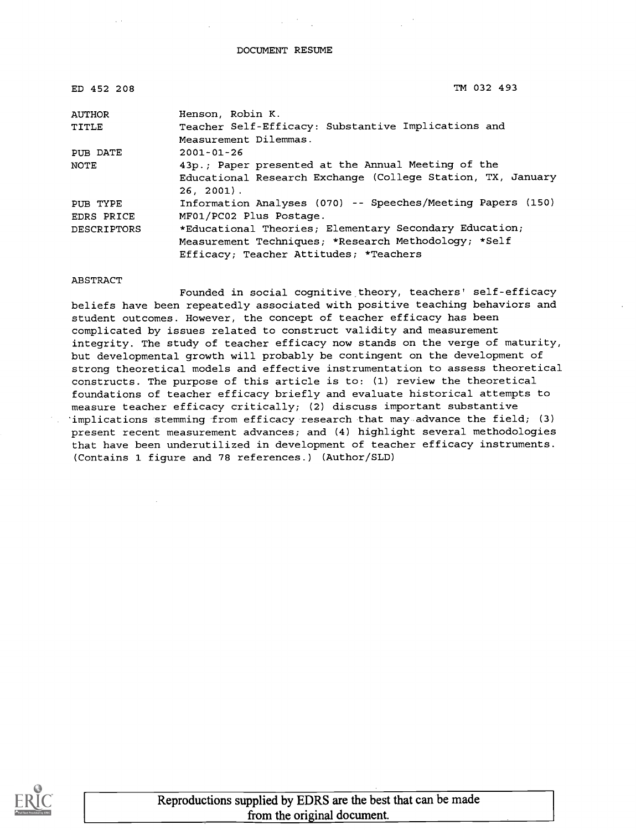#### DOCUMENT RESUME

| ED 452 208         | TM 032 493                                                  |
|--------------------|-------------------------------------------------------------|
| <b>AUTHOR</b>      | Henson, Robin K.                                            |
| TITLE              | Teacher Self-Efficacy: Substantive Implications and         |
|                    | Measurement Dilemmas.                                       |
| PUB DATE           | $2001 - 01 - 26$                                            |
| <b>NOTE</b>        | 43p.; Paper presented at the Annual Meeting of the          |
|                    | Educational Research Exchange (College Station, TX, January |
|                    | $26, 2001$ .                                                |
| PUB TYPE           | Information Analyses (070) -- Speeches/Meeting Papers (150) |
| EDRS PRICE         | MF01/PC02 Plus Postage.                                     |
| <b>DESCRIPTORS</b> | *Educational Theories; Elementary Secondary Education;      |
|                    | Measurement Techniques; *Research Methodology; *Self        |
|                    | Efficacy; Teacher Attitudes; *Teachers                      |

#### ABSTRACT

Founded in social cognitive theory, teachers' self-efficacy beliefs have been repeatedly associated with positive teaching behaviors and student outcomes. However, the concept of teacher efficacy has been complicated by issues related to construct validity and measurement integrity. The study of teacher efficacy now stands on the verge of maturity, but developmental growth will probably be contingent on the development of strong theoretical models and effective instrumentation to assess theoretical constructs. The purpose of this article is to: (1) review the theoretical foundations of teacher efficacy briefly and evaluate historical attempts to measure teacher efficacy critically; (2) discuss important substantive 'implications stemming from efficacy research that may advance the field; (3) present recent measurement advances; and (4) highlight several methodologies that have been underutilized in development of teacher efficacy instruments. (Contains 1 figure and 78 references.) (Author/SLD)

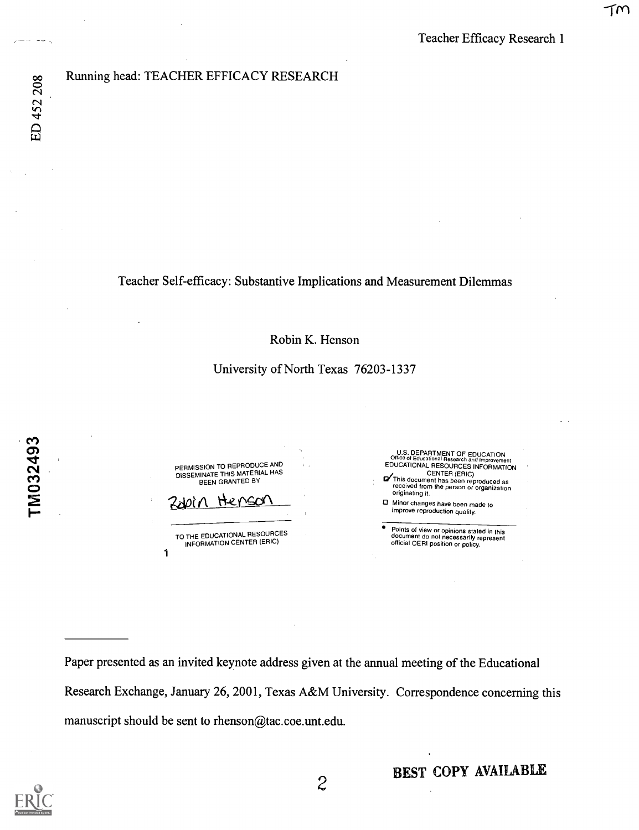## Running head: TEACHER EFFICACY RESEARCH

Teacher Self-efficacy: Substantive Implications and Measurement Dilemmas

Robin K. Henson

## University of North Texas 76203-1337

1 PERMISSION TO REPRODUCE AND DISSEMINATE THIS MATERIAL HAS BEEN GRANTED BY Henso TO THE EDUCATIONAL RESOURCES INFORMATION CENTER (ERIC) U.S. DEPARTMENT OF EDUCATION<br>Office of Educational Research and Improvement<br>EDUCATIONAL RESOURCES INFORMATION CENTER (ERIC)<br>This document has been reproduced as<br>received from the person or organization originating it. Minor changes have been made to improve reproduction quality. Points of view or opinions stated in this document do not necessarily represent official OERI position or policy.

Paper presented as an invited keynote address given at the annual meeting of the Educational Research Exchange, January 26, 2001, Texas A&M University. Correspondence concerning this manuscript should be sent to rhenson@tac.coe.unt.edu.



 $\sim$   $\sim$   $\sim$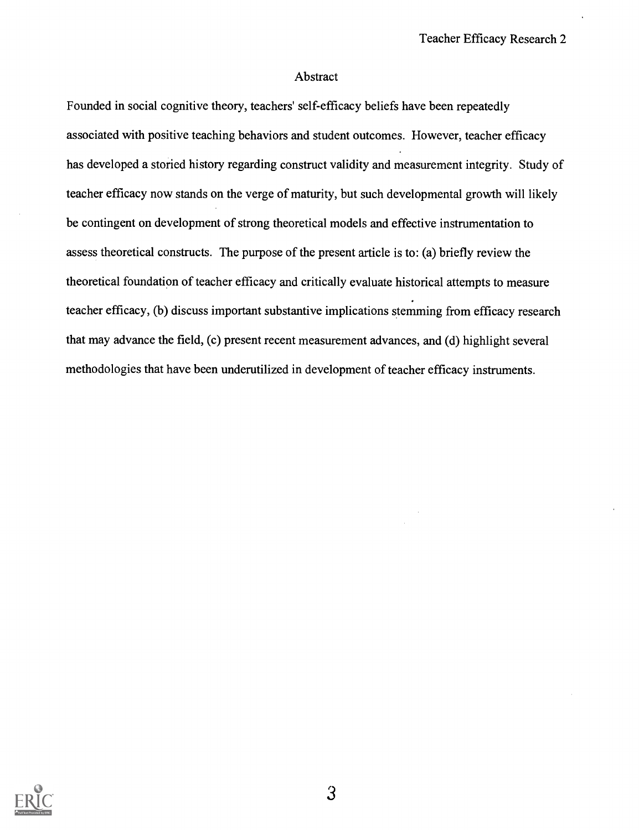#### Abstract

Founded in social cognitive theory, teachers' self-efficacy beliefs have been repeatedly associated with positive teaching behaviors and student outcomes. However, teacher efficacy has developed a storied history regarding construct validity and measurement integrity. Study of teacher efficacy now stands on the verge of maturity, but such developmental growth will likely be contingent on development of strong theoretical models and effective instrumentation to assess theoretical constructs. The purpose of the present article is to: (a) briefly review the theoretical foundation of teacher efficacy and critically evaluate historical attempts to measure teacher efficacy, (b) discuss important substantive implications stemming from efficacy research that may advance the field, (c) present recent measurement advances, and (d) highlight several methodologies that have been underutilized in development of teacher efficacy instruments.

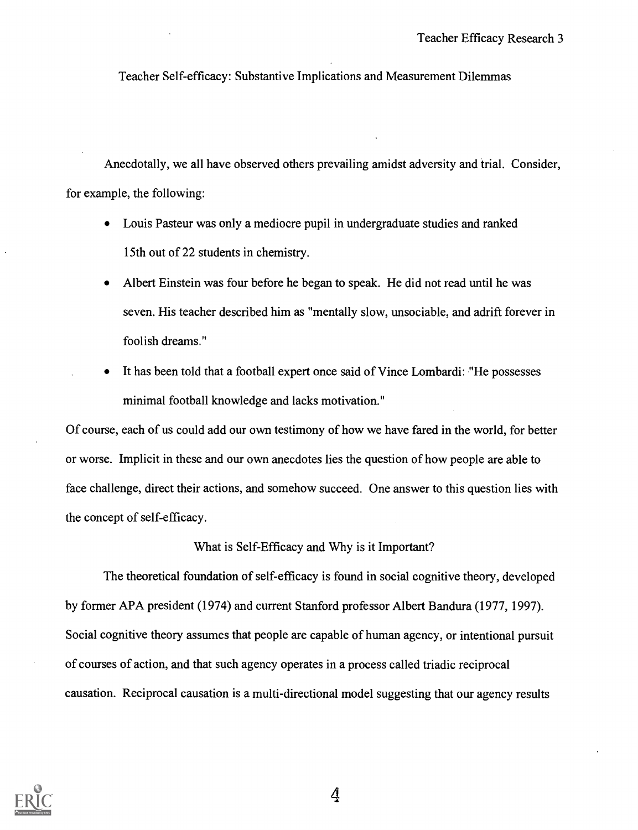Teacher Self-efficacy: Substantive Implications and Measurement Dilemmas

Anecdotally, we all have observed others prevailing amidst adversity and trial. Consider, for example, the following:

- Louis Pasteur was only a mediocre pupil in undergraduate studies and ranked  $\bullet$ 15th out of 22 students in chemistry.
- Albert Einstein was four before he began to speak. He did not read until he was seven. His teacher described him as "mentally slow, unsociable, and adrift forever in foolish dreams."
- It has been told that a football expert once said of Vince Lombardi: "He possesses minimal football knowledge and lacks motivation."

Of course, each of us could add our own testimony of how we have fared in the world, for better or worse. Implicit in these and our own anecdotes lies the question of how people are able to face challenge, direct their actions, and somehow succeed. One answer to this question lies with the concept of self-efficacy.

#### What is Self-Efficacy and Why is it Important?

The theoretical foundation of self-efficacy is found in social cognitive theory, developed by former APA president (1974) and current Stanford professor Albert Bandura (1977, 1997). Social cognitive theory assumes that people are capable of human agency, or intentional pursuit of courses of action, and that such agency operates in a process called triadic reciprocal causation. Reciprocal causation is a multi-directional model suggesting that our agency results

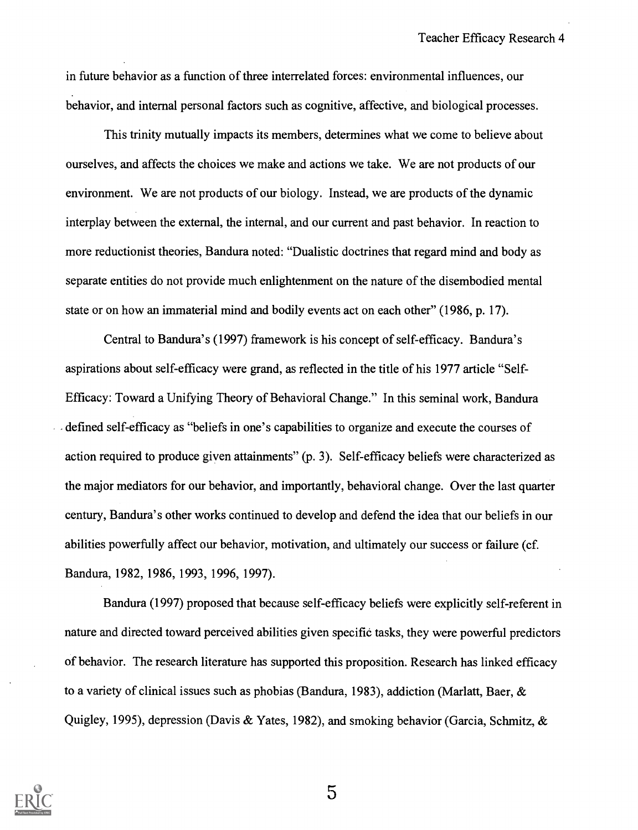in future behavior as a function of three interrelated forces: environmental influences, our behavior, and internal personal factors such as cognitive, affective, and biological processes.

This trinity mutually impacts its members, determines what we come to believe about ourselves, and affects the choices we make and actions we take. We are not products of our environment. We are not products of our biology. Instead, we are products of the dynamic interplay between the external, the internal, and our current and past behavior. In reaction to more reductionist theories, Bandura noted: "Dualistic doctrines that regard mind and body as separate entities do not provide much enlightenment on the nature of the disembodied mental state or on how an immaterial mind and bodily events act on each other" (1986, p. 17).

Central to Bandura's (1997) framework is his concept of self-efficacy. Bandura's aspirations about self-efficacy were grand, as reflected in the title of his 1977 article "Self-Efficacy: Toward a Unifying Theory of Behavioral Change." In this seminal work, Bandura defined self-efficacy as "beliefs in one's capabilities to organize and execute the courses of action required to produce given attainments" (p. 3). Self-efficacy beliefs were characterized as the major mediators for our behavior, and importantly, behavioral change. Over the last quarter century, Bandura's other works continued to develop and defend the idea that our beliefs in our abilities powerfully affect our behavior, motivation, and ultimately our success or failure (cf. Bandura, 1982, 1986, 1993, 1996, 1997).

Bandura (1997) proposed that because self-efficacy beliefs were explicitly self-referent in nature and directed toward perceived abilities given specific tasks, they were powerful predictors of behavior. The research literature has supported this proposition. Research has linked efficacy to a variety of clinical issues such as phobias (Bandura, 1983), addiction (Marlatt, Baer, & Quigley, 1995), depression (Davis & Yates, 1982), and smoking behavior (Garcia, Schmitz, &

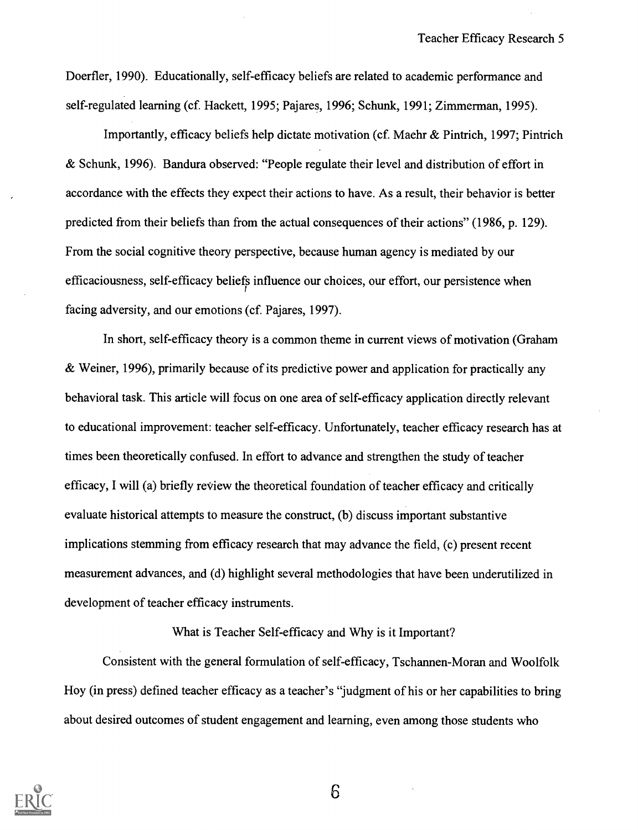Doerfler, 1990). Educationally, self-efficacy beliefs are related to academic performance and self-regulated learning (cf. Hackett, 1995; Pajares, 1996; Schunk, 1991; Zimmerman, 1995).

Importantly, efficacy beliefs help dictate motivation (cf. Maehr & Pintrich, 1997; Pintrich & Schunk, 1996). Bandura observed: "People regulate their level and distribution of effort in accordance with the effects they expect their actions to have. As a result, their behavior is better predicted from their beliefs than from the actual consequences of their actions" (1986, p. 129). From the social cognitive theory perspective, because human agency is mediated by our efficaciousness, self-efficacy beliefs influence our choices, our effort, our persistence when facing adversity, and our emotions (cf. Pajares, 1997).

In short, self-efficacy theory is a common theme in current views of motivation (Graham & Weiner, 1996), primarily because of its predictive power and application for practically any behavioral task. This article will focus on one area of self-efficacy application directly relevant to educational improvement: teacher self-efficacy. Unfortunately, teacher efficacy research has at times been theoretically confused. In effort to advance and strengthen the study of teacher efficacy, I will (a) briefly review the theoretical foundation of teacher efficacy and critically evaluate historical attempts to measure the construct, (b) discuss important substantive implications stemming from efficacy research that may advance the field, (c) present recent measurement advances, and (d) highlight several methodologies that have been underutilized in development of teacher efficacy instruments.

#### What is Teacher Self-efficacy and Why is it Important?

Consistent with the general formulation of self-efficacy, Tschannen -Moran and Woolfolk Hoy (in press) defined teacher efficacy as a teacher's "judgment of his or her capabilities to bring about desired outcomes of student engagement and learning, even among those students who

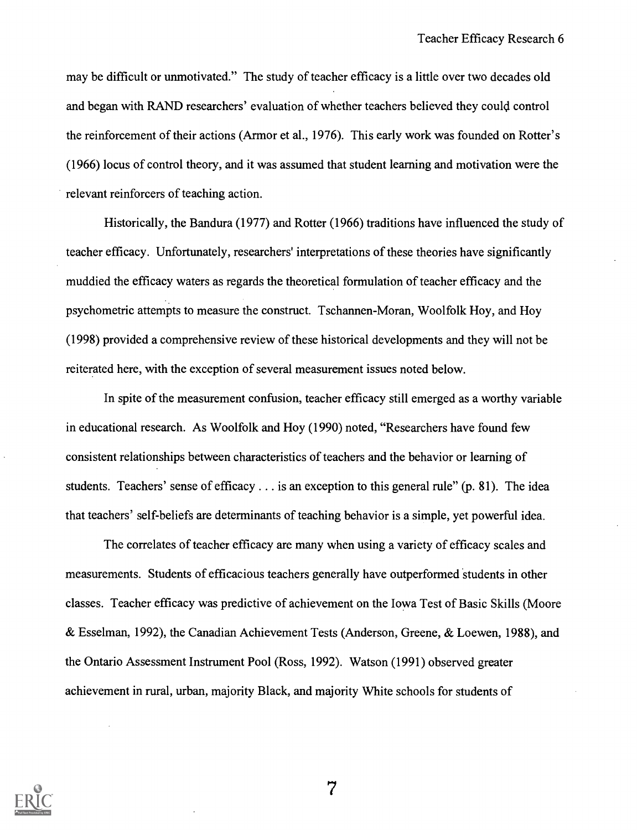may be difficult or unmotivated." The study of teacher efficacy is a little over two decades old and began with RAND researchers' evaluation of whether teachers believed they could control the reinforcement of their actions (Armor et al., 1976). This early work was founded on Rotter's (1966) locus of control theory, and it was assumed that student learning and motivation were the relevant reinforcers of teaching action.

Historically, the Bandura (1977) and Rotter (1966) traditions have influenced the study of teacher efficacy. Unfortunately, researchers' interpretations of these theories have significantly muddied the efficacy waters as regards the theoretical formulation of teacher efficacy and the psychometric attempts to measure the construct. Tschannen-Moran, Woolfolk Hoy, and Hoy (1998) provided a comprehensive review of these historical developments and they will not be reiterated here, with the exception of several measurement issues noted below.

In spite of the measurement confusion, teacher efficacy still emerged as a worthy variable in educational research. As Woolfolk and Hoy (1990) noted, "Researchers have found few consistent relationships between characteristics of teachers and the behavior or learning of students. Teachers' sense of efficacy  $\dots$  is an exception to this general rule" (p. 81). The idea that teachers' self-beliefs are determinants of teaching behavior is a simple, yet powerful idea.

The correlates of teacher efficacy are many when using a variety of efficacy scales and measurements. Students of efficacious teachers generally have outperformed students in other classes. Teacher efficacy was predictive of achievement on the Iowa Test of Basic Skills (Moore & Esselman, 1992), the Canadian Achievement Tests (Anderson, Greene, & Loewen, 1988), and the Ontario Assessment Instrument Pool (Ross, 1992). Watson (1991) observed greater achievement in rural, urban, majority Black, and majority White schools for students of

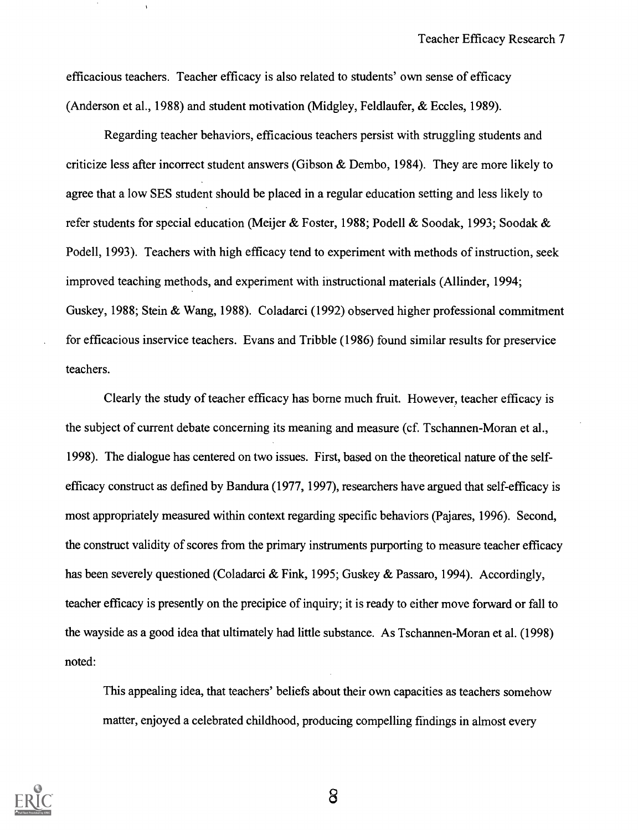efficacious teachers. Teacher efficacy is also related to students' own sense of efficacy (Anderson et al., 1988) and student motivation (Midgley, Feldlaufer, & Eccles, 1989).

Regarding teacher behaviors, efficacious teachers persist with struggling students and criticize less after incorrect student answers (Gibson & Dembo, 1984). They are more likely to agree that a low SES student should be placed in a regular education setting and less likely to refer students for special education (Meijer & Foster, 1988; Podell & Soodak, 1993; Soodak & Podell, 1993). Teachers with high efficacy tend to experiment with methods of instruction, seek improved teaching methods, and experiment with instructional materials (Allinder, 1994; Guskey, 1988; Stein & Wang, 1988). Coladarci (1992) observed higher professional commitment for efficacious inservice teachers. Evans and Tribble (1986) found similar results for preservice teachers.

Clearly the study of teacher efficacy has borne much fruit. However, teacher efficacy is the subject of current debate concerning its meaning and measure (cf. Tschannen-Moran et al., 1998). The dialogue has centered on two issues. First, based on the theoretical nature of the selfefficacy construct as defined by Bandura (1977, 1997), researchers have argued that self-efficacy is most appropriately measured within context regarding specific behaviors (Pajares, 1996). Second, the construct validity of scores from the primary instruments purporting to measure teacher efficacy has been severely questioned (Coladarci & Fink, 1995; Guskey & Passaro, 1994). Accordingly, teacher efficacy is presently on the precipice of inquiry; it is ready to either move forward or fall to the wayside as a good idea that ultimately had little substance. As Tschannen-Moran et al. (1998) noted:

This appealing idea, that teachers' beliefs about their own capacities as teachers somehow matter, enjoyed a celebrated childhood, producing compelling findings in almost every

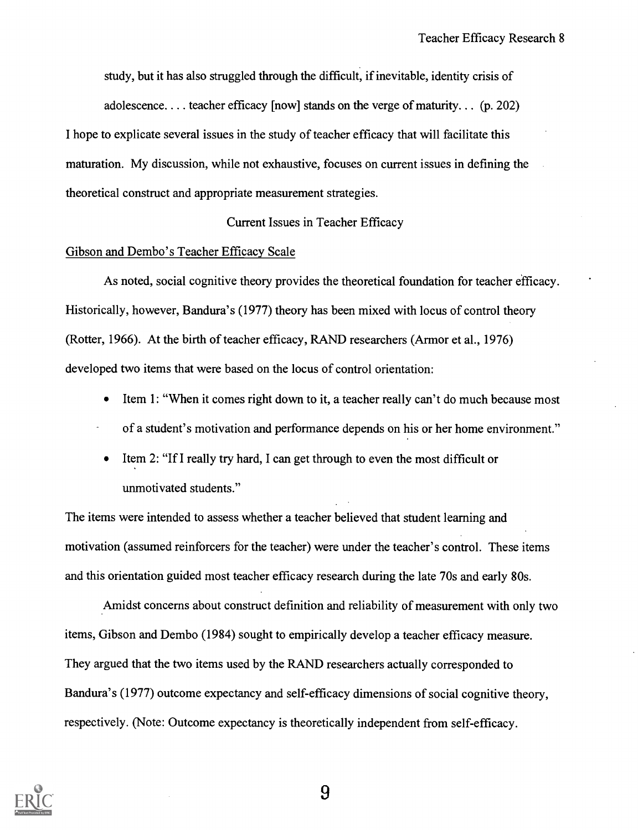study, but it has also struggled through the difficult, if inevitable, identity crisis of

adolescence. . .. teacher efficacy [now] stands on the verge of maturity. . . (p. 202)

I hope to explicate several issues in the study of teacher efficacy that will facilitate this maturation. My discussion, while not exhaustive, focuses on current issues in defining the theoretical construct and appropriate measurement strategies.

#### Current Issues in Teacher Efficacy

#### Gibson and Dembo's Teacher Efficacy Scale

As noted, social cognitive theory provides the theoretical foundation for teacher efficacy. Historically, however, Bandura's (1977) theory has been mixed with locus of control theory (Rotter, 1966). At the birth of teacher efficacy, RAND researchers (Armor et al., 1976) developed two items that were based on the locus of control orientation:

- Item 1: "When it comes right down to it, a teacher really can't do much because most
- of a student's motivation and performance depends on his or her home environment."
- Item 2: "If I really try hard, I can get through to even the most difficult or unmotivated students."

The items were intended to assess whether a teacher believed that student learning and motivation (assumed reinforcers for the teacher) were under the teacher's control. These items and this orientation guided most teacher efficacy research during the late 70s and early 80s.

Amidst concerns about construct definition and reliability of measurement with only two items, Gibson and Dembo (1984) sought to empirically develop a teacher efficacy measure. They argued that the two items used by the RAND researchers actually corresponded to Bandura's (1977) outcome expectancy and self-efficacy dimensions of social cognitive theory, respectively. (Note: Outcome expectancy is theoretically independent from self-efficacy.

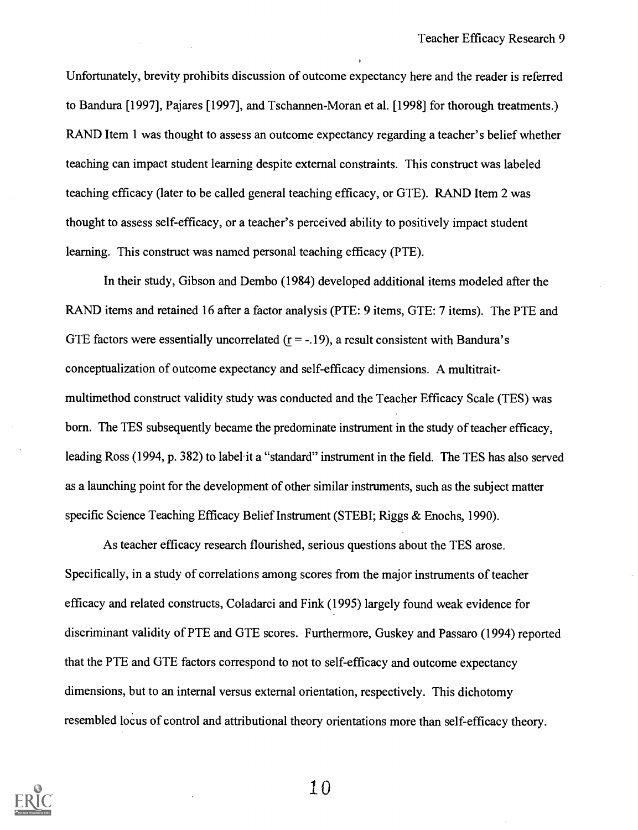Unfortunately, brevity prohibits discussion of outcome expectancy here and the reader is referred to Bandura [1997], Pajares [1997], and Tschannen -Moran et al. [1998] for thorough treatments.) RAND Item 1 was thought to assess an outcome expectancy regarding a teacher's belief whether teaching can impact student learning despite external constraints. This construct was labeled teaching efficacy (later to be called general teaching efficacy, or GTE). RAND Item 2 was thought to assess self-efficacy, or a teacher's perceived ability to positively impact student learning. This construct was named personal teaching efficacy (PTE).

In their study, Gibson and Dembo (1984) developed additional items modeled after the RAND items and retained 16 after a factor analysis (PTE: 9 items, GTE: 7 items). The PTE and GTE factors were essentially uncorrelated  $(r = -19)$ , a result consistent with Bandura's conceptualization of outcome expectancy and self-efficacy dimensions. A multitraitmultimethod construct validity study was conducted and the Teacher Efficacy Scale (TES) was born. The TES subsequently became the predominate instrument in the study of teacher efficacy, leading Ross (1994, p. 382) to label it a "standard" instrument in the field. The TES has also served as a launching point for the development of other similar instruments, such as the subject matter specific Science Teaching Efficacy Belief Instrument (STEBI; Riggs & Enochs, 1990).

As teacher efficacy research flourished, serious questions about the TES arose. Specifically, in a study of correlations among scores from the major instruments of teacher efficacy and related constructs, Coladarci and Fink (1995) largely found weak evidence for discriminant validity of PTE and GTE scores. Furthermore, Guskey and Passaro (1994) reported that the PTE and GTE factors correspond to not to self-efficacy and outcome expectancy dimensions, but to an internal versus external orientation, respectively. This dichotomy resembled locus of control and attributional theory orientations more than self-efficacy theory.

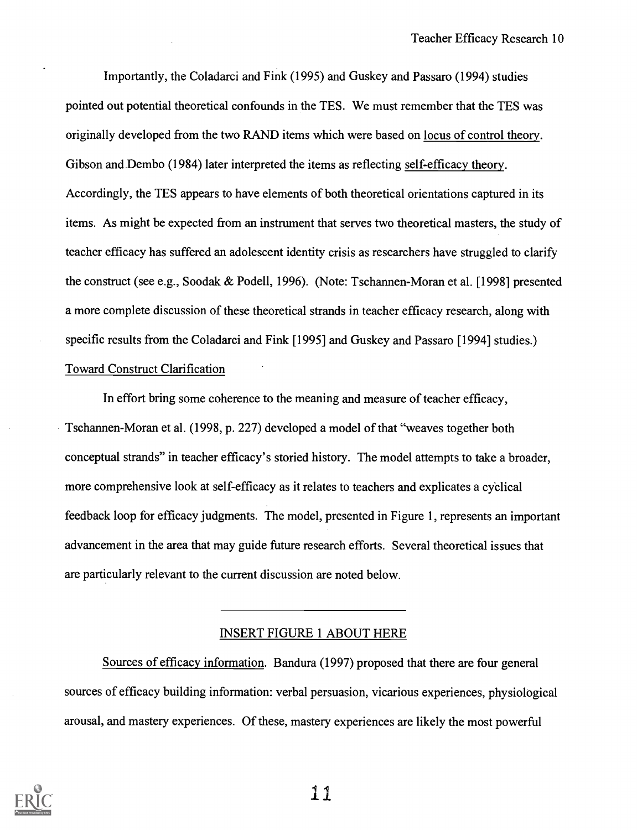Importantly, the Coladarci and Fink (1995) and Guskey and Passaro (1994) studies pointed out potential theoretical confounds in the TES. We must remember that the TES was originally developed from the two RAND items which were based on locus of control theory. Gibson and Dembo (1984) later interpreted the items as reflecting self-efficacy theory. Accordingly, the TES appears to have elements of both theoretical orientations captured in its items. As might be expected from an instrument that serves two theoretical masters, the study of teacher efficacy has suffered an adolescent identity crisis as researchers have struggled to clarify the construct (see e.g., Soodak & Podell, 1996). (Note: Tschannen-Moran et al. [1998] presented a more complete discussion of these theoretical strands in teacher efficacy research, along with specific results from the Coladarci and Fink [1995] and Guskey and Passaro [1994] studies.) Toward Construct Clarification

In effort bring some coherence to the meaning and measure of teacher efficacy, Tschannen-Moran et al. (1998, p. 227) developed a model of that "weaves together both conceptual strands" in teacher efficacy's storied history. The model attempts to take a broader, more comprehensive look at self-efficacy as it relates to teachers and explicates a cydical feedback loop for efficacy judgments. The model, presented in Figure 1, represents an important advancement in the area that may guide future research efforts. Several theoretical issues that are particularly relevant to the current discussion are noted below.

## INSERT FIGURE 1 ABOUT HERE

Sources of efficacy information. Bandura (1997) proposed that there are four general sources of efficacy building information: verbal persuasion, vicarious experiences, physiological arousal, and mastery experiences. Of these, mastery experiences are likely the most powerful



.1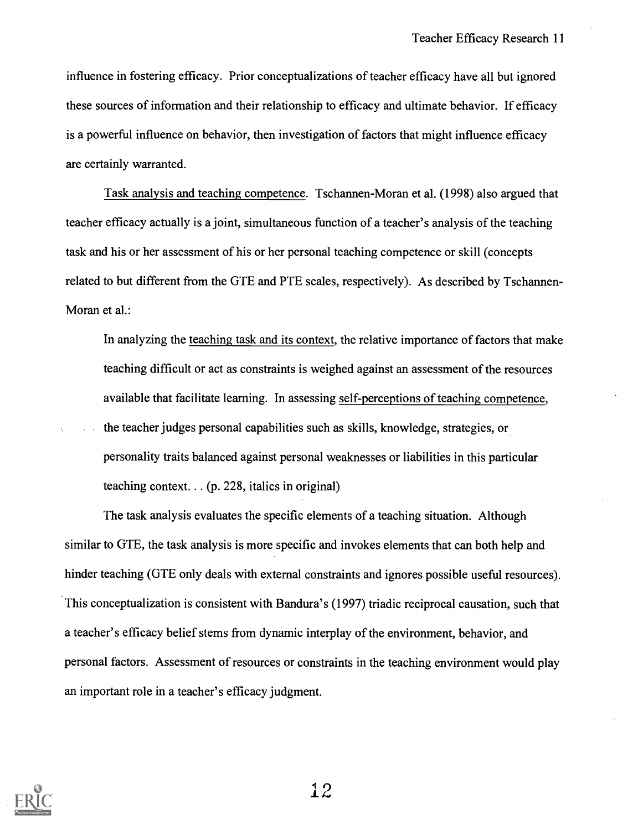influence in fostering efficacy. Prior conceptualizations of teacher efficacy have all but ignored these sources of information and their relationship to efficacy and ultimate behavior. If efficacy is a powerful influence on behavior, then investigation of factors that might influence efficacy are certainly warranted.

Task analysis and teaching competence. Tschannen-Moran et al. (1998) also argued that teacher efficacy actually is a joint, simultaneous function of a teacher's analysis of the teaching task and his or her assessment of his or her personal teaching competence or skill (concepts related to but different from the GTE and PTE scales, respectively). As described by Tschannen-Moran et al.:

In analyzing the teaching task and its context, the relative importance of factors that make teaching difficult or act as constraints is weighed against an assessment of the resources available that facilitate learning. In assessing self-perceptions of teaching competence,

the teacher judges personal capabilities such as skills, knowledge, strategies, or personality traits balanced against personal weaknesses or liabilities in this particular teaching context. . . (p. 228, italics in original)

The task analysis evaluates the specific elements of a teaching situation. Although similar to GTE, the task analysis is more specific and invokes elements that can both help and hinder teaching (GTE only deals with external constraints and ignores possible useful resources). This conceptualization is consistent with Bandura's (1997) triadic reciprocal causation, such that a teacher's efficacy belief stems from dynamic interplay of the environment, behavior, and personal factors. Assessment of resources or constraints in the teaching environment would play an important role in a teacher's efficacy judgment.

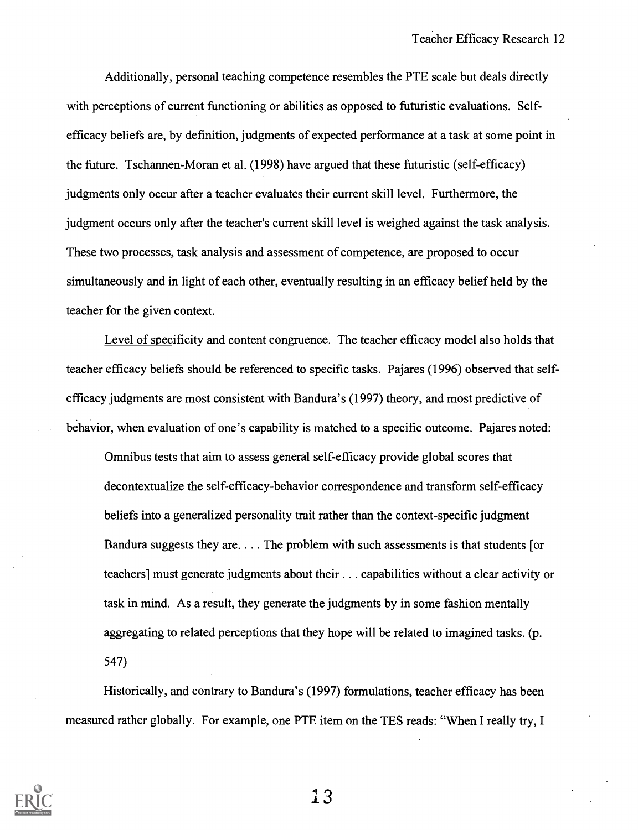Additionally, personal teaching competence resembles the PTE scale but deals directly with perceptions of current functioning or abilities as opposed to futuristic evaluations. Selfefficacy beliefs are, by definition, judgments of expected performance at a task at some point in the future. Tschannen-Moran et al. (1998) have argued that these futuristic (self-efficacy) judgments only occur after a teacher evaluates their current skill level. Furthermore, the judgment occurs only after the teacher's current skill level is weighed against the task analysis. These two processes, task analysis and assessment of competence, are proposed to occur simultaneously and in light of each other, eventually resulting in an efficacy belief held by the teacher for the given context.

Level of specificity and content congruence. The teacher efficacy model also holds that teacher efficacy beliefs should be referenced to specific tasks. Pajares (1996) observed that selfefficacy judgments are most consistent with Bandura's (1997) theory, and most predictive of behavior, when evaluation of one's capability is matched to a specific outcome. Pajares noted:

Omnibus tests that aim to assess general self-efficacy provide global scores that decontextualize the self-efficacy-behavior correspondence and transform self-efficacy beliefs into a generalized personality trait rather than the context-specific judgment Bandura suggests they are. . .. The problem with such assessments is that students [or teachers] must generate judgments about their . . . capabilities without a clear activity or task in mind. As a result, they generate the judgments by in some fashion mentally aggregating to related perceptions that they hope will be related to imagined tasks. (p. 547)

Historically, and contrary to Bandura's (1997) formulations, teacher efficacy has been measured rather globally. For example, one PTE item on the TES reads: "When I really try, I

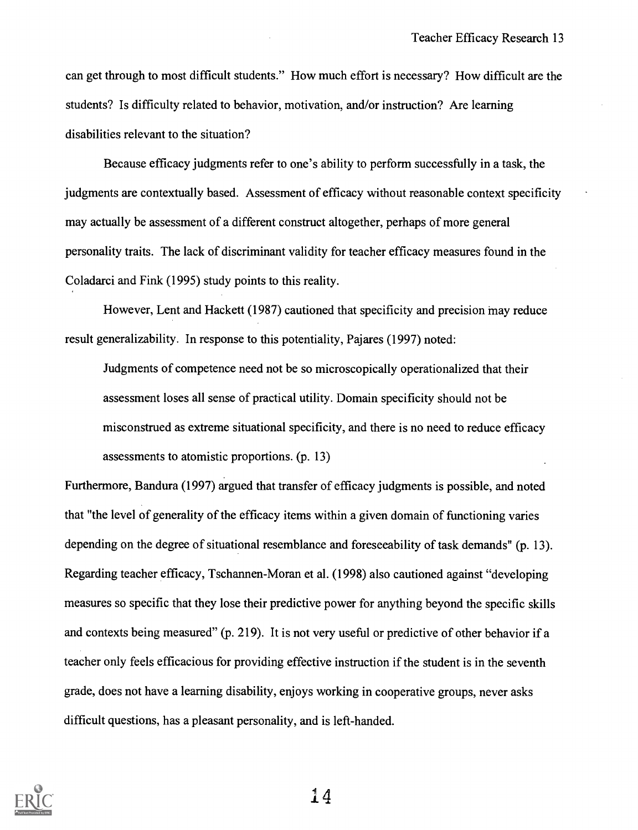can get through to most difficult students." How much effort is necessary? How difficult are the students? Is difficulty related to behavior, motivation, and/or instruction? Are learning disabilities relevant to the situation?

Because efficacy judgments refer to one's ability to perform successfully in a task, the judgments are contextually based. Assessment of efficacy without reasonable context specificity may actually be assessment of a different construct altogether, perhaps of more general personality traits. The lack of discriminant validity for teacher efficacy measures found in the Coladarci and Fink (1995) study points to this reality.

However, Lent and Hackett (1987) cautioned that specificity and precision may reduce result generalizability. In response to this potentiality, Pajares (1997) noted:

Judgments of competence need not be so microscopically operationalized that their assessment loses all sense of practical utility. Domain specificity should not be misconstrued as extreme situational specificity, and there is no need to reduce efficacy assessments to atomistic proportions. (p. 13)

Furthermore, Bandura (1997) argued that transfer of efficacy judgments is possible, and noted that "the level of generality of the efficacy items within a given domain of functioning varies depending on the degree of situational resemblance and foreseeability of task demands" (p. 13). Regarding teacher efficacy, Tschannen-Moran et al. (1998) also cautioned against "developing measures so specific that they lose their predictive power for anything beyond the specific skills and contexts being measured" (p. 219). It is not very useful or predictive of other behavior if a teacher only feels efficacious for providing effective instruction if the student is in the seventh grade, does not have a learning disability, enjoys working in cooperative groups, never asks difficult questions, has a pleasant personality, and is left-handed.

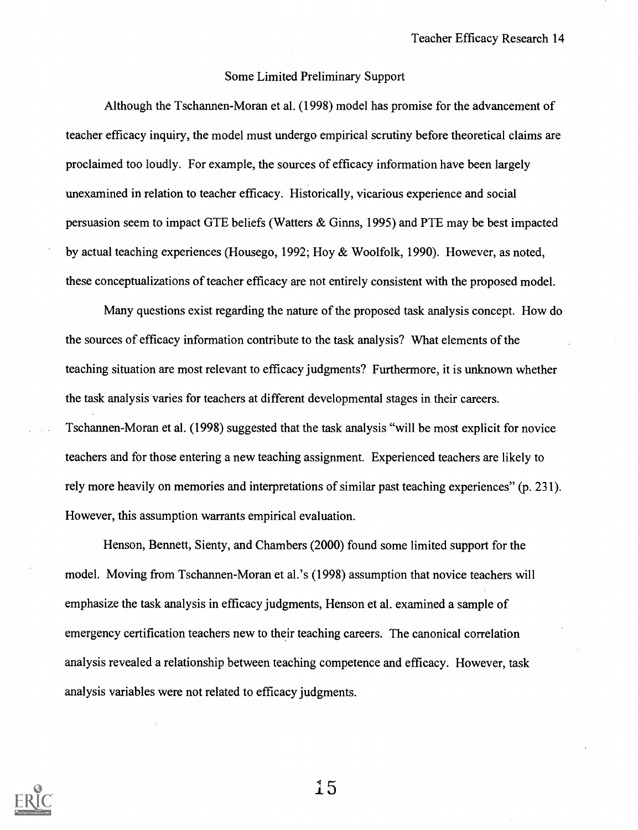#### Some Limited Preliminary Support

Although the Tschannen-Moran et al. (1998) model has promise for the advancement of teacher efficacy inquiry, the model must undergo empirical scrutiny before theoretical claims are proclaimed too loudly. For example, the sources of efficacy information have been largely unexamined in relation to teacher efficacy. Historically, vicarious experience and social persuasion seem to impact GTE beliefs (Waters & Ginns, 1995) and PTE may be best impacted by actual teaching experiences (Housego, 1992; Hoy & Woolfolk, 1990). However, as noted, these conceptualizations of teacher efficacy are not entirely consistent with the proposed model.

Many questions exist regarding the nature of the proposed task analysis concept. How do the sources of efficacy information contribute to the task analysis? What elements of the teaching situation are most relevant to efficacy judgments? Furthermore, it is unknown whether the task analysis varies for teachers at different developmental stages in their careers. Tschannen-Moran et al. (1998) suggested that the task analysis "will be most explicit for novice teachers and for those entering a new teaching assignment. Experienced teachers are likely to rely more heavily on memories and interpretations of similar past teaching experiences" (p. 231). However, this assumption warrants empirical evaluation.

Henson, Bennett, Sienty, and Chambers (2000) found some limited support for the model. Moving from Tschannen-Moran et al.'s (1998) assumption that novice teachers will emphasize the task analysis in efficacy judgments, Henson et al. examined a sample of emergency certification teachers new to their teaching careers. The canonical correlation analysis revealed a relationship between teaching competence and efficacy. However, task analysis variables were not related to efficacy judgments.

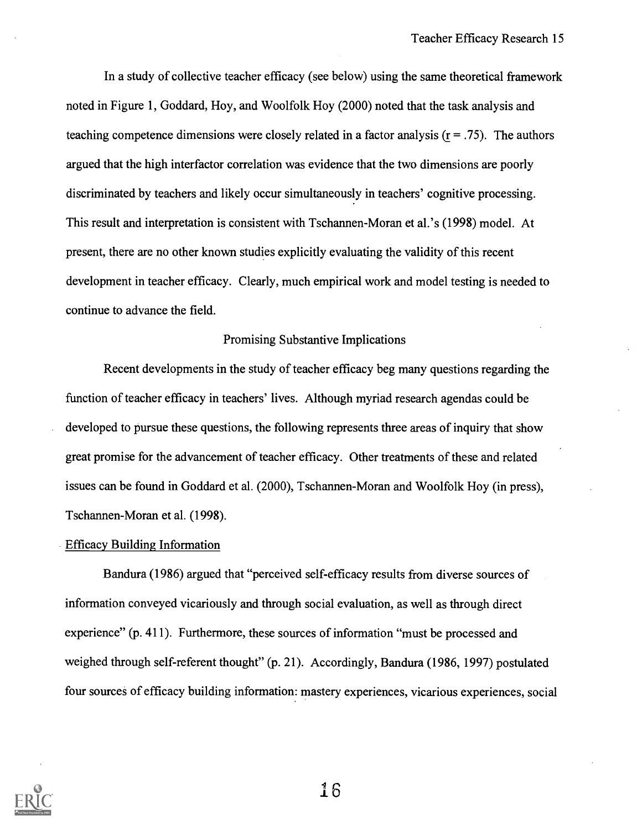In a study of collective teacher efficacy (see below) using the same theoretical framework noted in Figure 1, Goddard, Hoy, and Woolfolk Hoy (2000) noted that the task analysis and teaching competence dimensions were closely related in a factor analysis  $(r = .75)$ . The authors argued that the high interfactor correlation was evidence that the two dimensions are poorly discriminated by teachers and likely occur simultaneously in teachers' cognitive processing. This result and interpretation is consistent with Tschannen-Moran et al.'s (1998) model. At present, there are no other known studies explicitly evaluating the validity of this recent development in teacher efficacy. Clearly, much empirical work and model testing is needed to continue to advance the field.

#### Promising Substantive Implications

Recent developments in the study of teacher efficacy beg many questions regarding the function of teacher efficacy in teachers' lives. Although myriad research agendas could be developed to pursue these questions, the following represents three areas of inquiry that show great promise for the advancement of teacher efficacy. Other treatments of these and related issues can be found in Goddard et al. (2000), Tschannen-Moran and Woolfolk Hoy (in press), Tschannen-Moran et al. (1998).

#### Efficacy Building Information

Bandura (1986) argued that "perceived self-efficacy results from diverse sources of information conveyed vicariously and through social evaluation, as well as through direct experience" (p. 411). Furthermore, these sources of information "must be processed and weighed through self-referent thought" (p. 21). Accordingly, Bandura (1986, 1997) postulated four sources of efficacy building information: mastery experiences, vicarious experiences, social



I6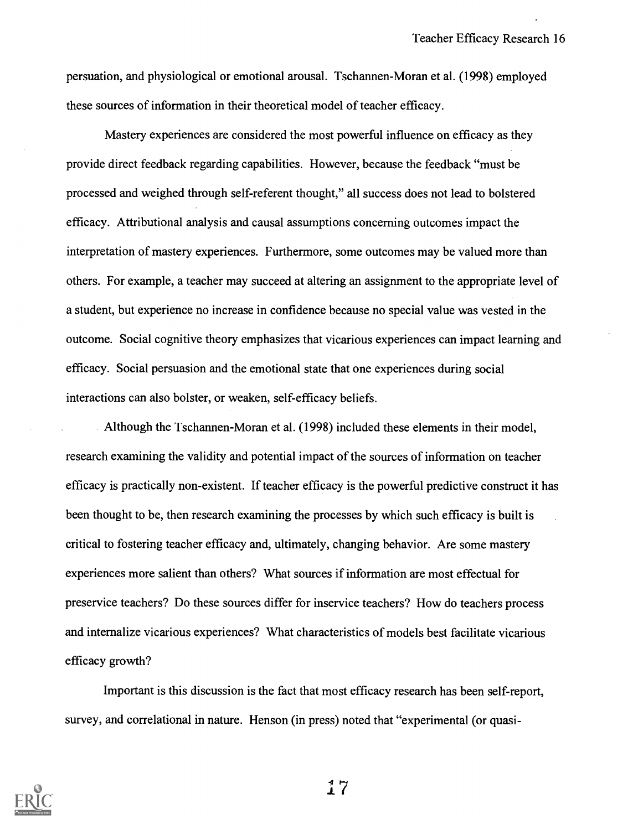persuation, and physiological or emotional arousal. Tschannen-Moran et al. (1998) employed these sources of information in their theoretical model of teacher efficacy.

Mastery experiences are considered the most powerful influence on efficacy as they provide direct feedback regarding capabilities. However, because the feedback "must be processed and weighed through self-referent thought," all success does not lead to bolstered efficacy. Attributional analysis and causal assumptions concerning outcomes impact the interpretation of mastery experiences. Furthermore, some outcomes may be valued more than others. For example, a teacher may succeed at altering an assignment to the appropriate level of a student, but experience no increase in confidence because no special value was vested in the outcome. Social cognitive theory emphasizes that vicarious experiences can impact learning and efficacy. Social persuasion and the emotional state that one experiences during social interactions can also bolster, or weaken, self-efficacy beliefs.

Although the Tschannen-Moran et al. (1998) included these elements in their model, research examining the validity and potential impact of the sources of information on teacher efficacy is practically non-existent. If teacher efficacy is the powerful predictive construct it has been thought to be, then research examining the processes by which such efficacy is built is critical to fostering teacher efficacy and, ultimately, changing behavior. Are some mastery experiences more salient than others? What sources if information are most effectual for preservice teachers? Do these sources differ for inservice teachers? How do teachers process and internalize vicarious experiences? What characteristics of models best facilitate vicarious efficacy growth?

Important is this discussion is the fact that most efficacy research has been self-report, survey, and correlational in nature. Henson (in press) noted that "experimental (or quasi-

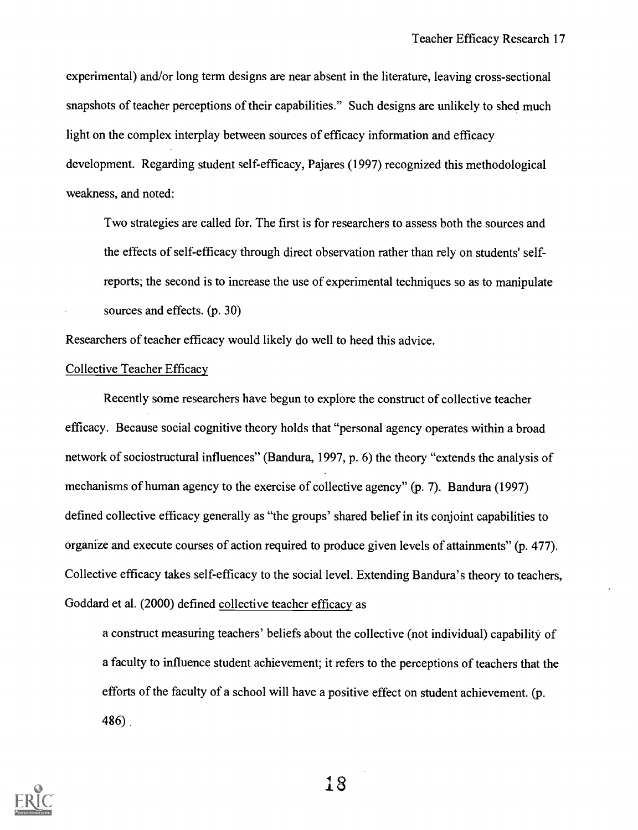experimental) and/or long term designs are near absent in the literature, leaving cross-sectional snapshots of teacher perceptions of their capabilities." Such designs are unlikely to shed much light on the complex interplay between sources of efficacy information and efficacy development. Regarding student self-efficacy, Pajares (1997) recognized this methodological weakness, and noted:

Two strategies are called for. The first is for researchers to assess both the sources and the effects of self-efficacy through direct observation rather than rely on students' selfreports; the second is to increase the use of experimental techniques so as to manipulate sources and effects. (p. 30)

Researchers of teacher efficacy would likely do well to heed this advice.

#### Collective Teacher Efficacy

Recently some researchers have begun to explore the construct of collective teacher efficacy. Because social cognitive theory holds that "personal agency operates within a broad network of sociostructural influences" (Bandura, 1997, p. 6) the theory "extends the analysis of mechanisms of human agency to the exercise of collective agency" (p. 7). Bandura (1997) defined collective efficacy generally as "the groups' shared belief in its conjoint capabilities to organize and execute courses of action required to produce given levels of attainments" (p. 477). Collective efficacy takes self-efficacy to the social level. Extending Bandura's theory to teachers, Goddard et al. (2000) defined collective teacher efficacy as

a construct measuring teachers' beliefs about the collective (not individual) capability of a faculty to influence student achievement; it refers to the perceptions of teachers that the efforts of the faculty of a school will have a positive effect on student achievement. (p. 486)

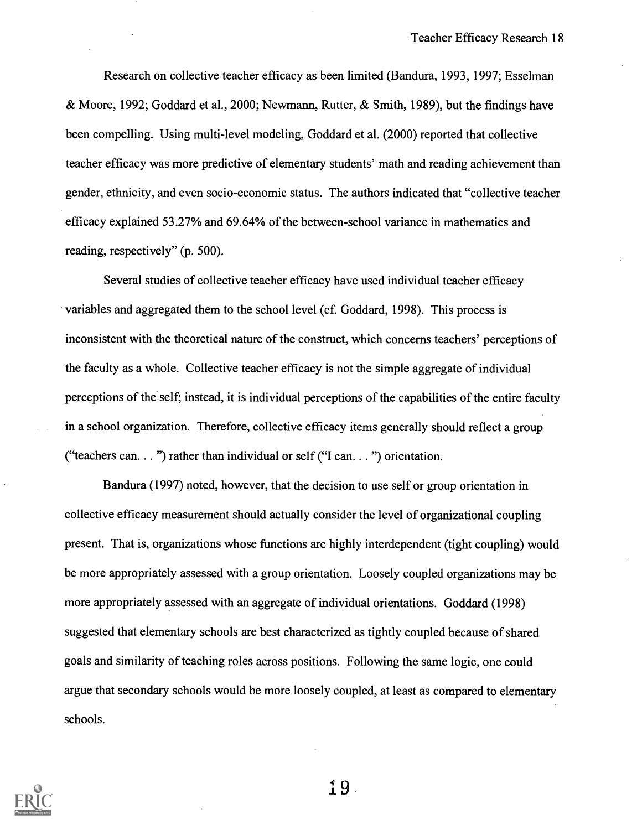Research on collective teacher efficacy as been limited (Bandura, 1993, 1997; Esselman & Moore, 1992; Goddard et al., 2000; Newmann, Rutter, & Smith, 1989), but the findings have been compelling. Using multi-level modeling, Goddard et al. (2000) reported that collective teacher efficacy was more predictive of elementary students' math and reading achievement than gender, ethnicity, and even socio-economic status. The authors indicated that "collective teacher efficacy explained 53.27% and 69.64% of the between-school variance in mathematics and reading, respectively" (p. 500).

Several studies of collective teacher efficacy have used individual teacher efficacy variables and aggregated them to the school level (cf. Goddard, 1998). This process is inconsistent with the theoretical nature of the construct, which concerns teachers' perceptions of the faculty as a whole. Collective teacher efficacy is not the simple aggregate of individual perceptions of the self; instead, it is individual perceptions of the capabilities of the entire faculty in a school organization. Therefore, collective efficacy items generally should reflect a group ("teachers can.  $\ldots$ ") rather than individual or self ("I can.  $\ldots$ ") orientation.

Bandura (1997) noted, however, that the decision to use self or group orientation in collective efficacy measurement should actually consider the level of organizational coupling present. That is, organizations whose functions are highly interdependent (tight coupling) would be more appropriately assessed with a group orientation. Loosely coupled organizations may be more appropriately assessed with an aggregate of individual orientations. Goddard (1998) suggested that elementary schools are best characterized as tightly coupled because of shared goals and similarity of teaching roles across positions. Following the same logic, one could argue that secondary schools would be more loosely coupled, at least as compared to elementary schools.



 $19.$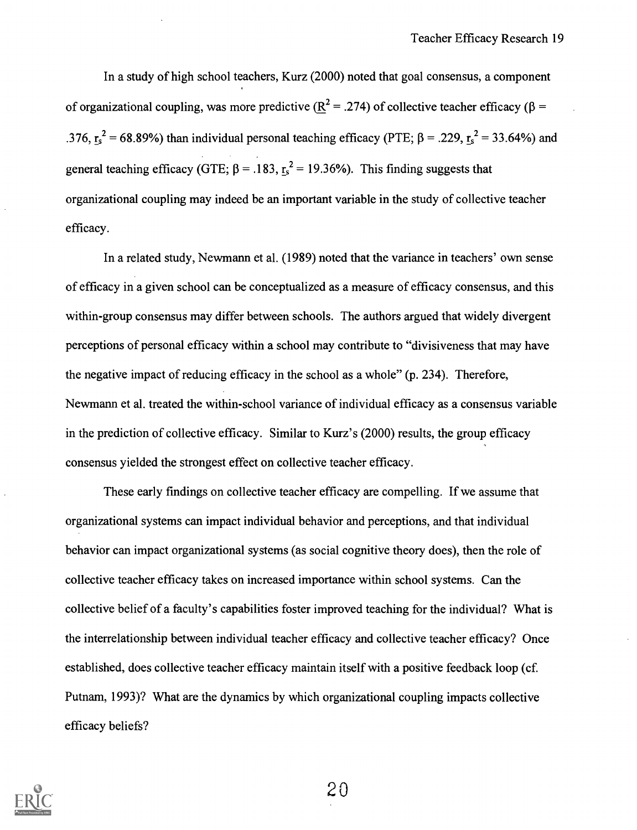In a study of high school teachers, Kurz (2000) noted that goal consensus, a component of organizational coupling, was more predictive ( $R^2 = .274$ ) of collective teacher efficacy ( $\beta =$ .376,  $r_s^2$  = 68.89%) than individual personal teaching efficacy (PTE;  $\beta$  = .229,  $r_s^2$  = 33.64%) and general teaching efficacy (GTE;  $\beta = .183$ ,  $r_s^2 = 19.36\%$ ). This finding suggests that organizational coupling may indeed be an important variable in the study of collective teacher efficacy.

In a related study, Newmann et al. (1989) noted that the variance in teachers' own sense of efficacy in a given school can be conceptualized as a measure of efficacy consensus, and this within-group consensus may differ between schools. The authors argued that widely divergent perceptions of personal efficacy within a school may contribute to "divisiveness that may have the negative impact of reducing efficacy in the school as a whole" (p. 234). Therefore, Newmann et al. treated the within-school variance of individual efficacy as a consensus variable in the prediction of collective efficacy. Similar to Kurz's (2000) results, the group efficacy consensus yielded the strongest effect on collective teacher efficacy.

These early findings on collective teacher efficacy are compelling. If we assume that organizational systems can impact individual behavior and perceptions, and that individual behavior can impact organizational systems (as social cognitive theory does), then the role of collective teacher efficacy takes on increased importance within school systems. Can the collective belief of a faculty's capabilities foster improved teaching for the individual? What is the interrelationship between individual teacher efficacy and collective teacher efficacy? Once established, does collective teacher efficacy maintain itself with a positive feedback loop (cf. Putnam, 1993)? What are the dynamics by which organizational coupling impacts collective efficacy beliefs?

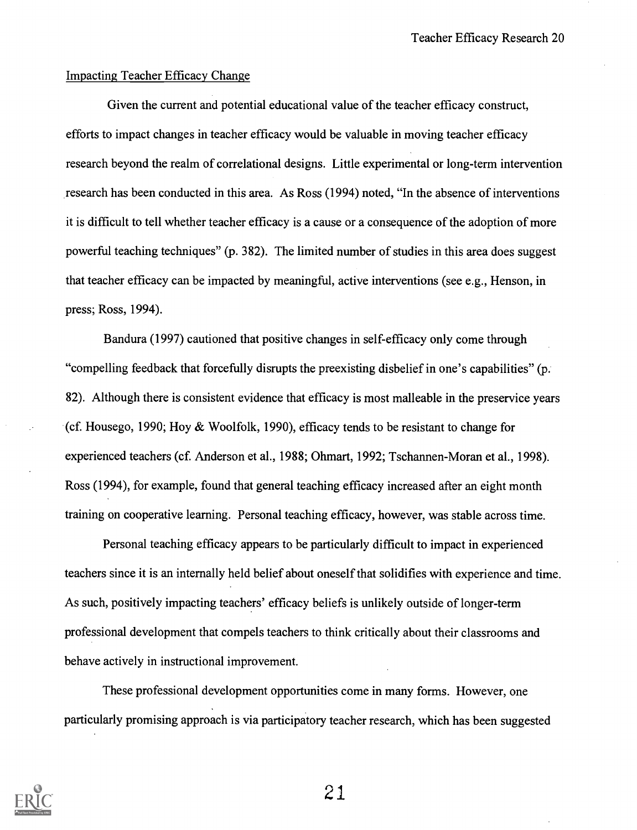#### Impacting Teacher Efficacy Change

Given the current and potential educational value of the teacher efficacy construct, efforts to impact changes in teacher efficacy would be valuable in moving teacher efficacy research beyond the realm of correlational designs. Little experimental or long-term intervention research has been conducted in this area. As Ross (1994) noted, "In the absence of interventions it is difficult to tell whether teacher efficacy is a cause or a consequence of the adoption of more powerful teaching techniques" (p. 382). The limited number of studies in this area does suggest that teacher efficacy can be impacted by meaningful, active interventions (see e.g., Henson, in press; Ross, 1994).

Bandura (1997) cautioned that positive changes in self-efficacy only come through "compelling feedback that forcefully disrupts the preexisting disbelief in one's capabilities" (p. 82). Although there is consistent evidence that efficacy is most malleable in the preservice years (cf. Housego, 1990; Hoy & Woolfolk, 1990), efficacy tends to be resistant to change for experienced teachers (cf. Anderson et al., 1988; Ohmart, 1992; Tschannen-Moran et al., 1998). Ross (1994), for example, found that general teaching efficacy increased after an eight month training on cooperative learning. Personal teaching efficacy, however, was stable across time.

Personal teaching efficacy appears to be particularly difficult to impact in experienced teachers since it is an internally held belief about oneself that solidifies with experience and time. As such, positively impacting teachers' efficacy beliefs is unlikely outside of longer-term professional development that compels teachers to think critically about their classrooms and behave actively in instructional improvement.

These professional development opportunities come in many forms. However, one particularly promising approach is via participatory teacher research, which has been suggested

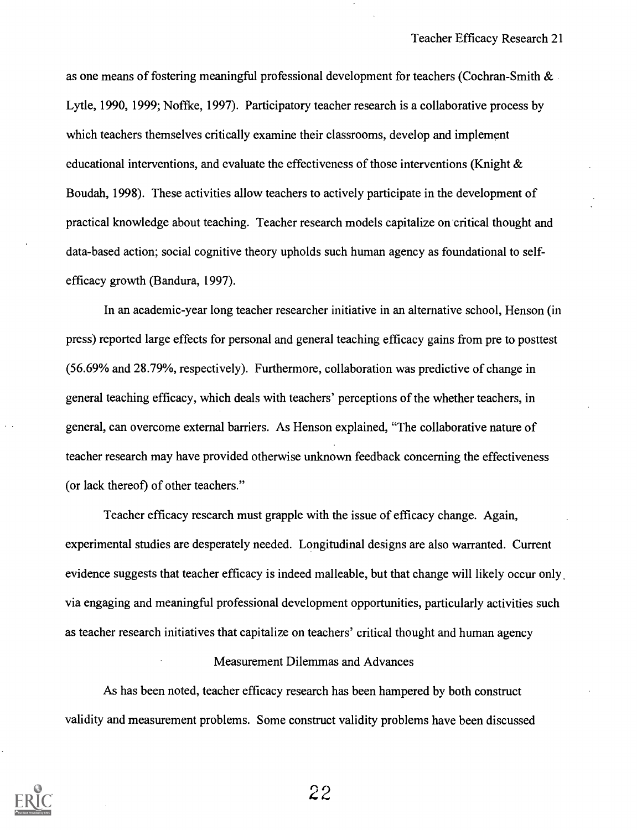as one means of fostering meaningful professional development for teachers (Cochran-Smith & Lytle, 1990, 1999; Noffke, 1997). Participatory teacher research is a collaborative process by which teachers themselves critically examine their classrooms, develop and implement educational interventions, and evaluate the effectiveness of those interventions (Knight  $\&$ Boudah, 1998). These activities allow teachers to actively participate in the development of practical knowledge about teaching. Teacher research models capitalize on critical thought and data-based action; social cognitive theory upholds such human agency as foundational to selfefficacy growth (Bandura, 1997).

In an academic-year long teacher researcher initiative in an alternative school, Henson (in press) reported large effects for personal and general teaching efficacy gains from pre to posttest (56.69% and 28.79%, respectively). Furthermore, collaboration was predictive of change in general teaching efficacy, which deals with teachers' perceptions of the whether teachers, in general, can overcome external barriers. As Henson explained, "The collaborative nature of teacher research may have provided otherwise unknown feedback concerning the effectiveness (or lack thereof) of other teachers."

Teacher efficacy research must grapple with the issue of efficacy change. Again, experimental studies are desperately needed. Longitudinal designs are also warranted. Current evidence suggests that teacher efficacy is indeed malleable, but that change will likely occur only via engaging and meaningful professional development opportunities, particularly activities such as teacher research initiatives that capitalize on teachers' critical thought and human agency

#### Measurement Dilemmas and Advances

As has been noted, teacher efficacy research has been hampered by both construct validity and measurement problems. Some construct validity problems have been discussed

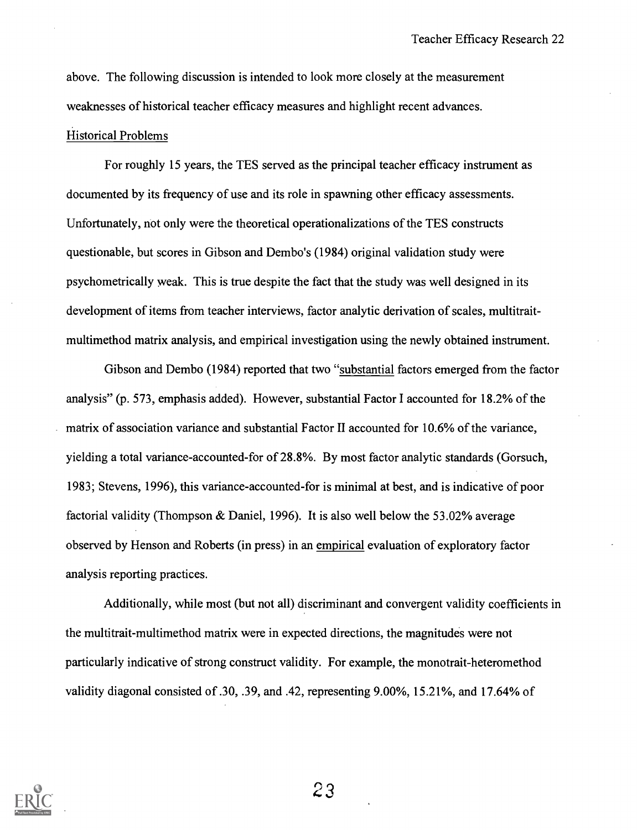above. The following discussion is intended to look more closely at the measurement weaknesses of historical teacher efficacy measures and highlight recent advances.

#### Historical Problems

For roughly 15 years, the TES served as the principal teacher efficacy instrument as documented by its frequency of use and its role in spawning other efficacy assessments. Unfortunately, not only were the theoretical operationalizations of the TES constructs questionable, but scores in Gibson and Dembo's (1984) original validation study were psychometrically weak. This is true despite the fact that the study was well designed in its development of items from teacher interviews, factor analytic derivation of scales, multitraitmultimethod matrix analysis, and empirical investigation using the newly obtained instrument.

Gibson and Dembo (1984) reported that two "substantial factors emerged from the factor analysis" (p. 573, emphasis added). However, substantial Factor I accounted for 18.2% of the matrix of association variance and substantial Factor II accounted for 10.6% of the variance, yielding a total variance-accounted-for of 28.8%. By most factor analytic standards (Gorsuch, 1983; Stevens, 1996), this variance-accounted-for is minimal at best, and is indicative of poor factorial validity (Thompson & Daniel, 1996). It is also well below the 53.02% average observed by Henson and Roberts (in press) in an empirical evaluation of exploratory factor analysis reporting practices.

Additionally, while most (but not all) discriminant and convergent validity coefficients in the multitrait-multimethod matrix were in expected directions, the magnitudes were not particularly indicative of strong construct validity. For example, the monotrait-heteromethod validity diagonal consisted of .30, .39, and .42, representing 9.00%, 15.21%, and 17.64% of

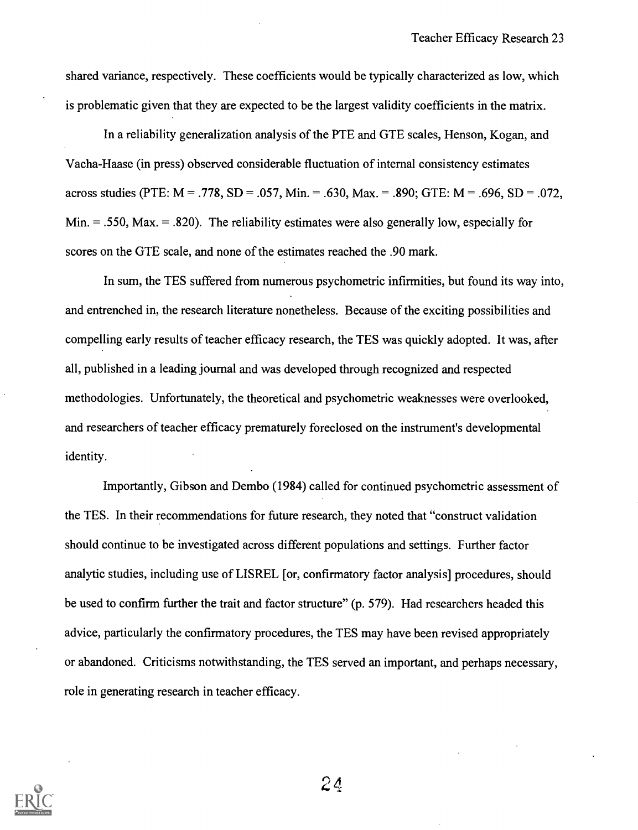shared variance, respectively. These coefficients would be typically characterized as low, which is problematic given that they are expected to be the largest validity coefficients in the matrix.

In a reliability generalization analysis of the PTE and GTE scales, Henson, Kogan, and Vacha-Haase (in press) observed considerable fluctuation of internal consistency estimates across studies (PTE:  $M = .778$ , SD = .057, Min. = .630, Max. = .890; GTE:  $M = .696$ , SD = .072, Min.  $= .550$ , Max.  $= .820$ ). The reliability estimates were also generally low, especially for scores on the GTE scale, and none of the estimates reached the .90 mark.

In sum, the TES suffered from numerous psychometric infirmities, but found its way into, and entrenched in, the research literature nonetheless. Because of the exciting possibilities and compelling early results of teacher efficacy research, the TES was quickly adopted. It was, after all, published in a leading journal and was developed through recognized and respected methodologies. Unfortunately, the theoretical and psychometric weaknesses were overlooked, and researchers of teacher efficacy prematurely foreclosed on the instrument's developmental identity.

Importantly, Gibson and Dembo (1984) called for continued psychometric assessment of the TES. In their recommendations for future research, they noted that "construct validation should continue to be investigated across different populations and settings. Further factor analytic studies, including use of LISREL [or, confirmatory factor analysis] procedures, should be used to confirm further the trait and factor structure" (p. 579). Had researchers headed this advice, particularly the confirmatory procedures, the TES may have been revised appropriately or abandoned. Criticisms notwithstanding, the TES served an important, and perhaps necessary, role in generating research in teacher efficacy.

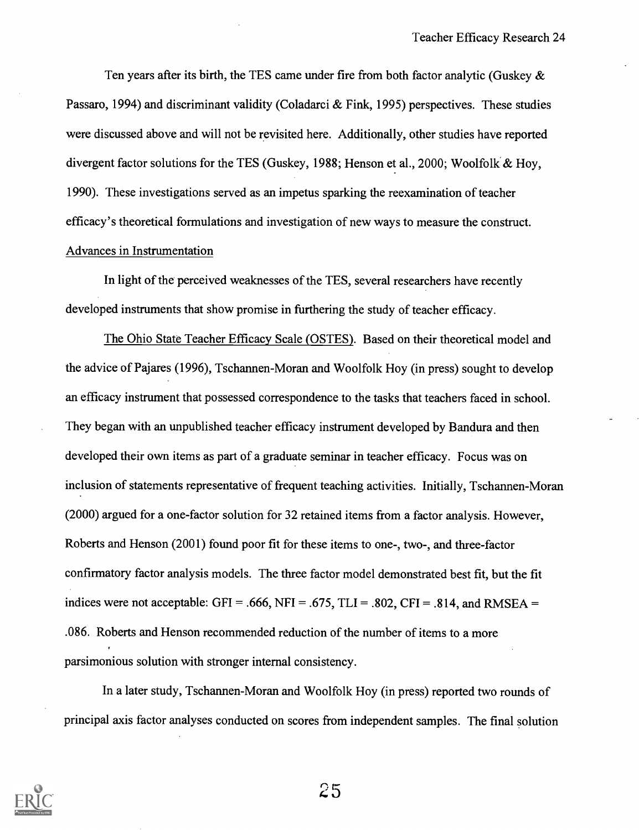Ten years after its birth, the TES came under fire from both factor analytic (Guskey  $\&$ Passaro, 1994) and discriminant validity (Coladarci & Fink, 1995) perspectives. These studies were discussed above and will not be revisited here. Additionally, other studies have reported divergent factor solutions for the TES (Guskey, 1988; Henson et al., 2000; Woolfolk & Hoy, 1990). These investigations served as an impetus sparking the reexamination of teacher efficacy's theoretical formulations and investigation of new ways to measure the construct. Advances in Instrumentation

In light of the perceived weaknesses of the TES, several researchers have recently developed instruments that show promise in furthering the study of teacher efficacy.

The Ohio State Teacher Efficacy Scale (OSTES). Based on their theoretical model and the advice of Pajares (1996), Tschannen-Moran and Woolfolk Hoy (in press) sought to develop an efficacy instrument that possessed correspondence to the tasks that teachers faced in school. They began with an unpublished teacher efficacy instrument developed by Bandura and then developed their own items as part of a graduate seminar in teacher efficacy. Focus was on inclusion of statements representative of frequent teaching activities. Initially, Tschannen-Moran (2000) argued for a one-factor solution for 32 retained items from a factor analysis. However, Roberts and Henson (2001) found poor fit for these items to one-, two-, and three-factor confirmatory factor analysis models. The three factor model demonstrated best fit, but the fit indices were not acceptable: GFI = .666, NFI = .675, TLI = .802, CFI = .814, and RMSEA = .086. Roberts and Henson recommended reduction of the number of items to a more parsimonious solution with stronger internal consistency.

In a later study, Tschannen-Moran and Woolfolk Hoy (in press) reported two rounds of principal axis factor analyses conducted on scores from independent samples. The final solution

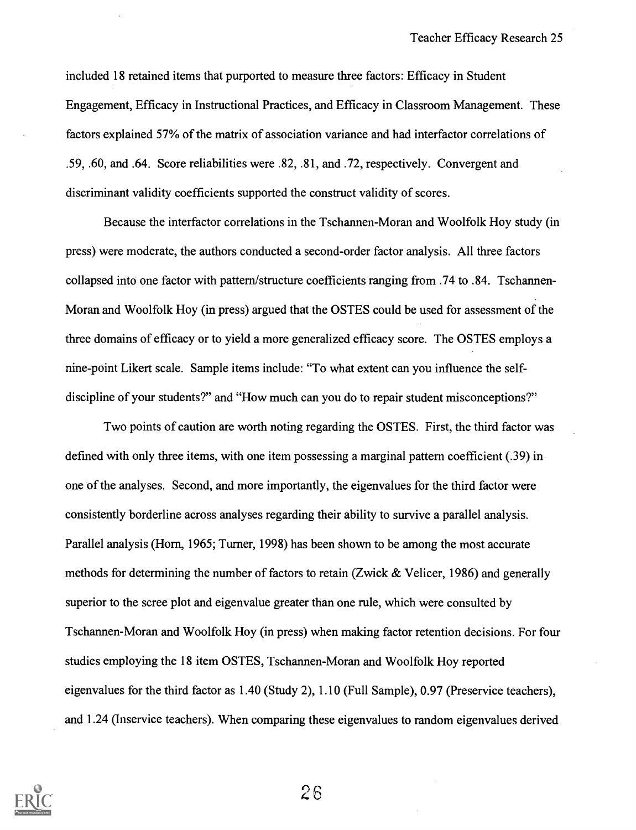included 18 retained items that purported to measure three factors: Efficacy in Student Engagement, Efficacy in Instructional Practices, and Efficacy in Classroom Management. These factors explained 57% of the matrix of association variance and had interfactor correlations of .59, .60, and .64. Score reliabilities were .82, .81, and .72, respectively. Convergent and discriminant validity coefficients supported the construct validity of scores.

Because the interfactor correlations in the Tschannen-Moran and Woolfolk Hoy study (in press) were moderate, the authors conducted a second-order factor analysis. All three factors collapsed into one factor with pattern/structure coefficients ranging from .74 to .84. Tschannen-Moran and Woolfolk Hoy (in press) argued that the OSTES could be used for assessment of the three domains of efficacy or to yield a more generalized efficacy score. The OSTES employs a nine-point Likert scale. Sample items include: "To what extent can you influence the selfdiscipline of your students?" and "How much can you do to repair student misconceptions?"

Two points of caution are worth noting regarding the OSTES. First, the third factor was defined with only three items, with one item possessing a marginal pattern coefficient (.39) in one of the analyses. Second, and more importantly, the eigenvalues for the third factor were consistently borderline across analyses regarding their ability to survive a parallel analysis. Parallel analysis (Horn, 1965; Turner, 1998) has been shown to be among the most accurate methods for determining the number of factors to retain (Zwick & Velicer, 1986) and generally superior to the scree plot and eigenvalue greater than one rule, which were consulted by Tschannen-Moran and Woolfolk Hoy (in press) when making factor retention decisions. For four studies employing the 18 item OSTES, Tschannen-Moran and Woolfolk Hoy reported eigenvalues for the third factor as 1.40 (Study 2), 1.10 (Full Sample), 0.97 (Preservice teachers), and 1.24 (Inservice teachers). When comparing these eigenvalues to random eigenvalues derived

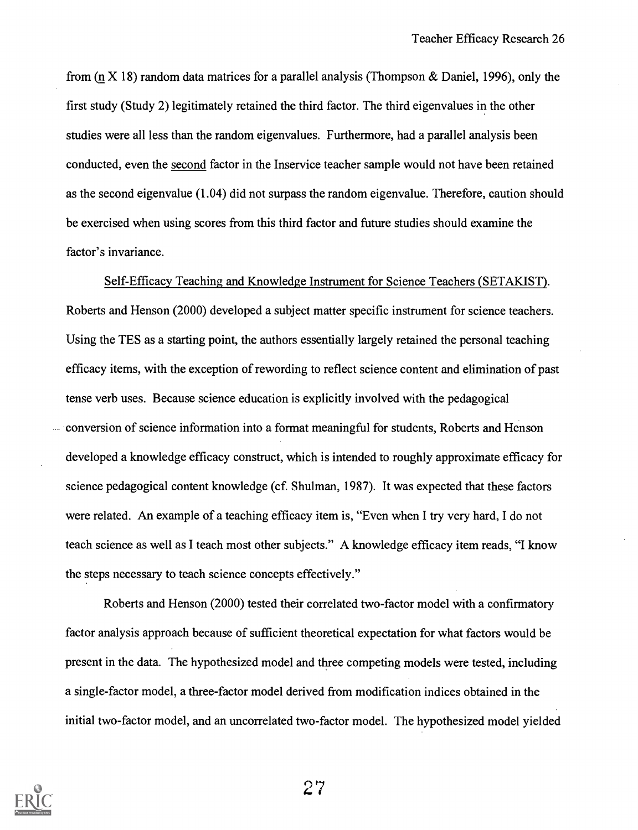from ( $\pi$  X 18) random data matrices for a parallel analysis (Thompson & Daniel, 1996), only the first study (Study 2) legitimately retained the third factor. The third eigenvalues in the other studies were all less than the random eigenvalues. Furthermore, had a parallel analysis been conducted, even the second factor in the Inservice teacher sample would not have been retained as the second eigenvalue (1.04) did not surpass the random eigenvalue. Therefore, caution should be exercised when using scores from this third factor and future studies should examine the factor's invariance.

Self-Efficacy Teaching and Knowledge Instrument for Science Teachers (SETAKIST). Roberts and Henson (2000) developed a subject matter specific instrument for science teachers. Using the TES as a starting point, the authors essentially largely retained the personal teaching efficacy items, with the exception of rewording to reflect science content and elimination of past tense verb uses. Because science education is explicitly involved with the pedagogical conversion of science information into a format meaningful for students, Roberts and Henson developed a knowledge efficacy construct, which is intended to roughly approximate efficacy for science pedagogical content knowledge (cf. Shulman, 1987). It was expected that these factors were related. An example of a teaching efficacy item is, "Even when I try very hard, I do not teach science as well as I teach most other subjects." A knowledge efficacy item reads, "I know the steps necessary to teach science concepts effectively."

Roberts and Henson (2000) tested their correlated two-factor model with a confirmatory factor analysis approach because of sufficient theoretical expectation for what factors would be present in the data. The hypothesized model and three competing models were tested, including a single-factor model, a three-factor model derived from modification indices obtained in the initial two-factor model, and an uncorrelated two-factor model. The hypothesized model yielded

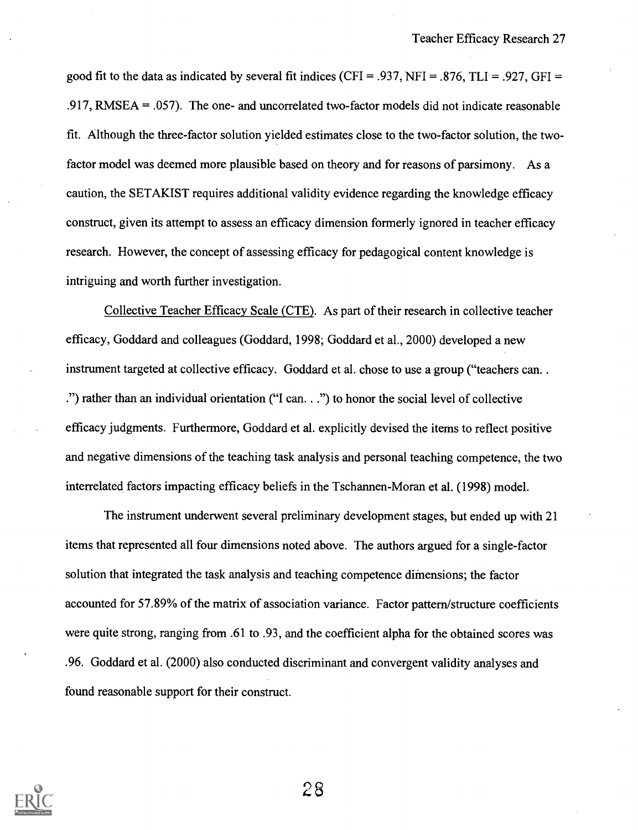good fit to the data as indicated by several fit indices (CFI = .937, NFI = .876, TLI = .927, GFI = .917, RMSEA = .057). The one- and uncorrelated two-factor models did not indicate reasonable fit. Although the three-factor solution yielded estimates close to the two-factor solution, the twofactor model was deemed more plausible based on theory and for reasons of parsimony. As a caution, the SETAKIST requires additional validity evidence regarding the knowledge efficacy construct, given its attempt to assess an efficacy dimension formerly ignored in teacher efficacy research. However, the concept of assessing efficacy for pedagogical content knowledge is intriguing and worth further investigation.

Collective Teacher Efficacy Scale (CTE). As part of their research in collective teacher efficacy, Goddard and colleagues (Goddard, 1998; Goddard et al., 2000) developed a new instrument targeted at collective efficacy. Goddard et al. chose to use a group ("teachers can. . .") rather than an individual orientation ("I can. . .") to honor the social level of collective efficacy judgments. Furthermore, Goddard et al. explicitly devised the items to reflect positive and negative dimensions of the teaching task analysis and personal teaching competence, the two interrelated factors impacting efficacy beliefs in the Tschannen-Moran et al. (1998) model.

The instrument underwent several preliminary development stages, but ended up with 21 items that represented all four dimensions noted above. The authors argued for a single-factor solution that integrated the task analysis and teaching competence difnensions; the factor accounted for 57.89% of the matrix of association variance. Factor pattern/structure coefficients were quite strong, ranging from .61 to .93, and the coefficient alpha for the obtained scores was .96. Goddard et al. (2000) also conducted discriminant and convergent validity analyses and found reasonable support for their construct.

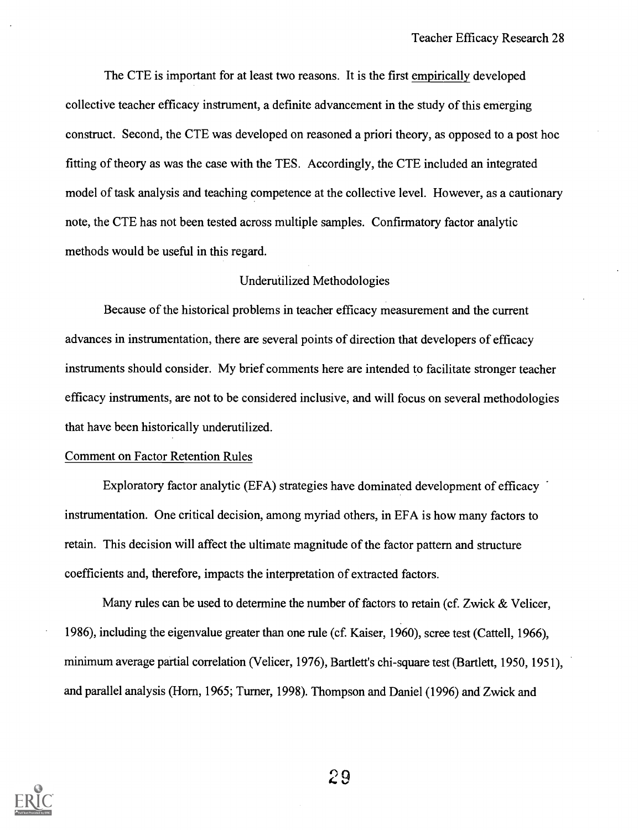The CTE is important for at least two reasons. It is the first empirically developed collective teacher efficacy instrument, a definite advancement in the study of this emerging construct. Second, the CTE was developed on reasoned a priori theory, as opposed to a post hoc fitting of theory as was the case with the TES. Accordingly, the CTE included an integrated model of task analysis and teaching competence at the collective level. However, as a cautionary note, the CTE has not been tested across multiple samples. Confirmatory factor analytic methods would be useful in this regard.

#### Underutilized Methodologies

Because of the historical problems in teacher efficacy measurement and the current advances in instrumentation, there are several points of direction that developers of efficacy instruments should consider. My brief comments here are intended to facilitate stronger teacher efficacy instruments, are not to be considered inclusive, and will focus on several methodologies that have been historically underutilized.

#### Comment on Factor Retention Rules

Exploratory factor analytic (EFA) strategies have dominated development of efficacy instrumentation. One critical decision, among myriad others, in EFA is how many factors to retain. This decision will affect the ultimate magnitude of the factor pattern and structure coefficients and, therefore, impacts the interpretation of extracted factors.

Many rules can be used to determine the number of factors to retain (cf. Zwick & Velicer, 1986), including the eigenvalue greater than one rule (cf. Kaiser, 1960), scree test (Cattell, 1966), minimum average partial correlation (Velicer, 1976), Bartlett's chi-square test (Bartlett, 1950, 1951), and parallel analysis (Horn, 1965; Turner, 1998). Thompson and Daniel (1996) and Zwick and

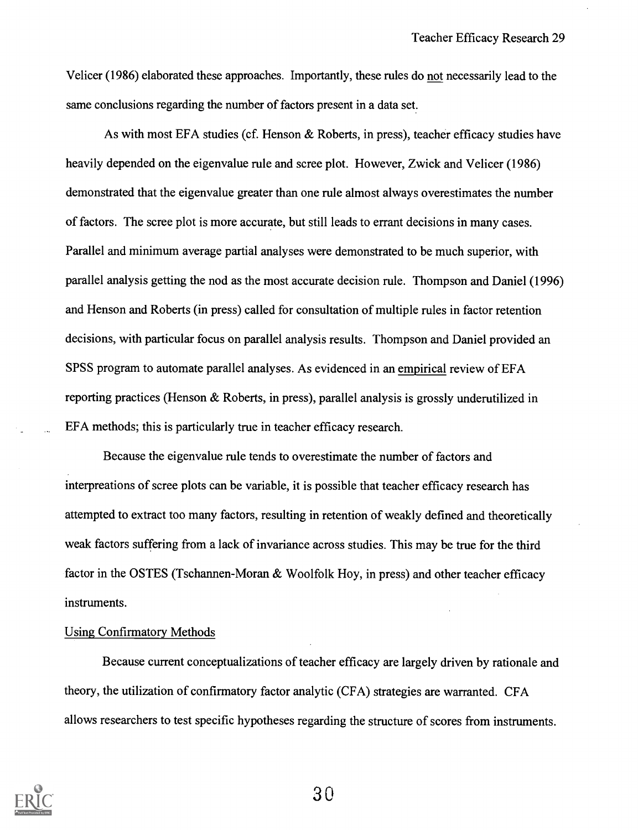Velicer (1986) elaborated these approaches. Importantly, these rules do not necessarily lead to the same conclusions regarding the number of factors present in a data set.

As with most EFA studies (cf. Henson & Roberts, in press), teacher efficacy studies have heavily depended on the eigenvalue rule and scree plot. However, Zwick and Velicer (1986) demonstrated that the eigenvalue greater than one rule almost always overestimates the number of factors. The scree plot is more accurate, but still leads to errant decisions in many cases. Parallel and minimum average partial analyses were demonstrated to be much superior, with parallel analysis getting the nod as the most accurate decision rule. Thompson and Daniel (1996) and Henson and Roberts (in press) called for consultation of multiple rules in factor retention decisions, with particular focus on parallel analysis results. Thompson and Daniel provided an SPSS program to automate parallel analyses. As evidenced in an empirical review of EFA reporting practices (Henson & Roberts, in press), parallel analysis is grossly underutilized in EFA methods; this is particularly true in teacher efficacy research.

Because the eigenvalue rule tends to overestimate the number of factors and interpreations of scree plots can be variable, it is possible that teacher efficacy research has attempted to extract too many factors, resulting in retention of weakly defined and theoretically weak factors suffering from a lack of invariance across studies. This may be true for the third factor in the OSTES (Tschannen-Moran & Woolfolk Hoy, in press) and other teacher efficacy instruments.

#### Using Confirmatory Methods

Because current conceptualizations of teacher efficacy are largely driven by rationale and theory, the utilization of confirmatory factor analytic (CFA) strategies are warranted. CFA allows researchers to test specific hypotheses regarding the structure of scores from instruments.

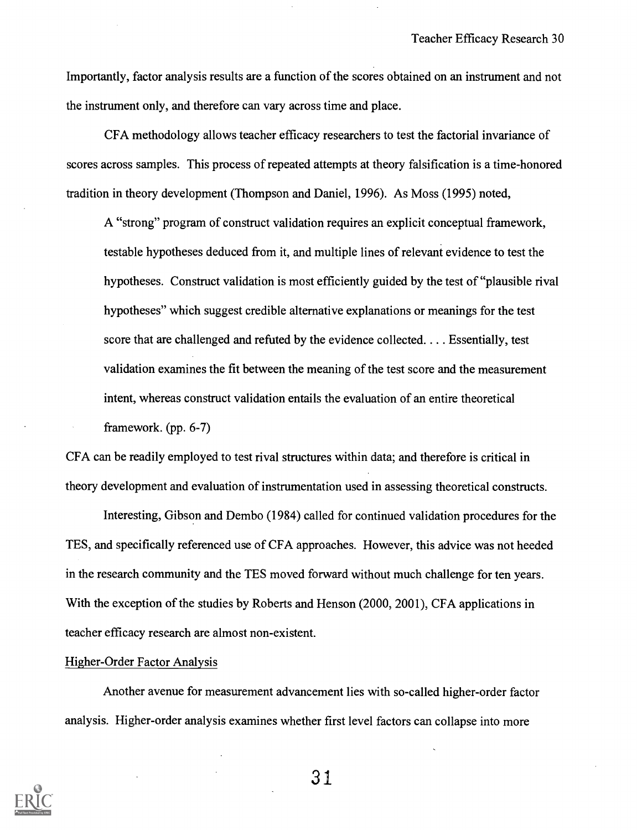Importantly, factor analysis results are a function of the scores obtained on an instrument and not the instrument only, and therefore can vary across time and place.

CFA methodology allows teacher efficacy researchers to test the factorial invariance of scores across samples. This process of repeated attempts at theory falsification is a time-honored tradition in theory development (Thompson and Daniel, 1996). As Moss (1995) noted,

A "strong" program of construct validation requires an explicit conceptual framework, testable hypotheses deduced from it, and multiple lines of relevant evidence to test the hypotheses. Construct validation is most efficiently guided by the test of "plausible rival hypotheses" which suggest credible alternative explanations or meanings for the test score that are challenged and refuted by the evidence collected. . . . Essentially, test validation examines the fit between the meaning of the test score and the measurement intent, whereas construct validation entails the evaluation of an entire theoretical framework. (pp. 6-7)

CFA can be readily employed to test rival structures within data; and therefore is critical in theory development and evaluation of instrumentation used in assessing theoretical constructs.

Interesting, Gibson and Dembo (1984) called for continued validation procedures for the TES, and specifically referenced use of CFA approaches. However, this advice was not heeded in the research community and the TES moved forward without much challenge for ten years. With the exception of the studies by Roberts and Henson (2000, 2001), CFA applications in teacher efficacy research are almost non-existent.

#### Higher-Order Factor Analysis

Another avenue for measurement advancement lies with so-called higher-order factor analysis. Higher-order analysis examines whether first level factors can collapse into more

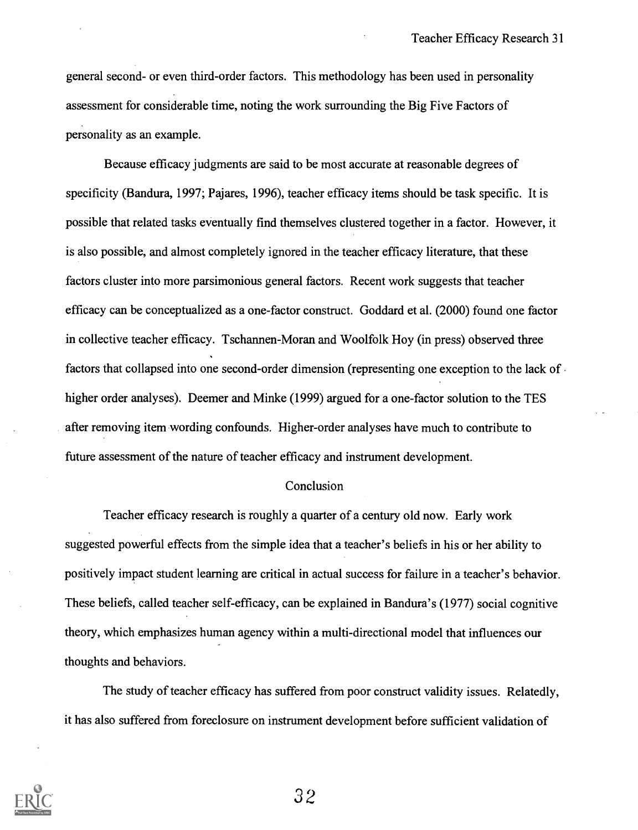general second- or even third-order factors. This methodology has been used in personality assessment for considerable time, noting the work surrounding the Big Five Factors of personality as an example.

Because efficacy judgments are said to be most accurate at reasonable degrees of specificity (Bandura, 1997; Pajares, 1996), teacher efficacy items should be task specific. It is possible that related tasks eventually find themselves clustered together in a factor. However, it is also possible, and almost completely ignored in the teacher efficacy literature, that these factors cluster into more parsimonious general factors. Recent work suggests that teacher efficacy can be conceptualized as a one-factor construct. Goddard et al. (2000) found one factor in collective teacher efficacy. Tschannen-Moran and Woolfolk Hoy (in press) observed three factors that collapsed into one second-order dimension (representing one exception to the lack of higher order analyses). Deemer and Minke (1999) argued for a one-factor solution to the TES after removing item wording confounds. Higher-order analyses have much to contribute to future assessment of the nature of teacher efficacy and instrument development.

#### Conclusion

Teacher efficacy research is roughly a quarter of a century old now. Early work suggested powerful effects from the simple idea that a teacher's beliefs in his or her ability to positively impact student learning are critical in actual success for failure in a teacher's behavior. These beliefs, called teacher self-efficacy, can be explained in Bandura's (1977) social cognitive theory, which emphasizes human agency within a multi-directional model that influences our thoughts and behaviors.

The study of teacher efficacy has suffered from poor construct validity issues. Relatedly, it has also suffered from foreclosure on instrument development before sufficient validation of

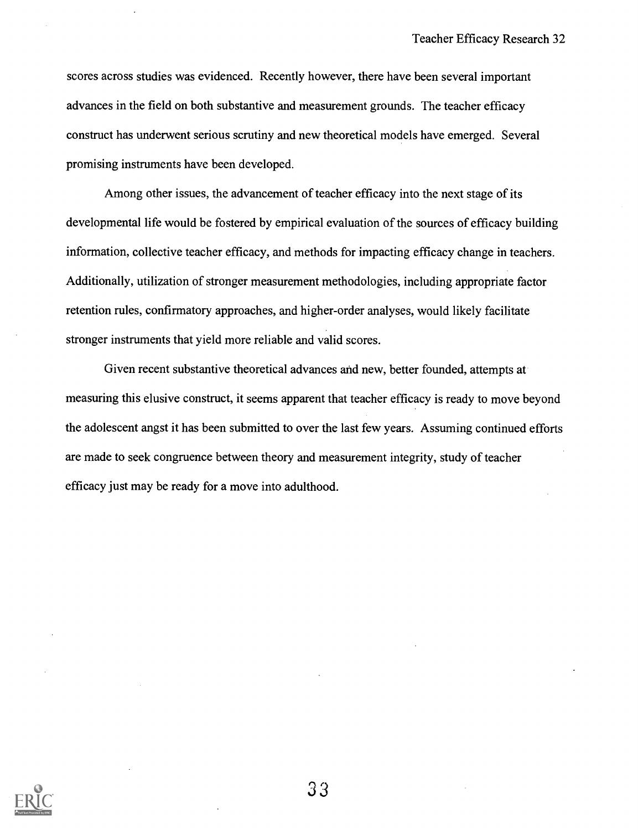scores across studies was evidenced. Recently however, there have been several important advances in the field on both substantive and measurement grounds. The teacher efficacy construct has underwent serious scrutiny and new theoretical models have emerged. Several promising instruments have been developed.

Among other issues, the advancement of teacher efficacy into the next stage of its developmental life would be fostered by empirical evaluation of the sources of efficacy building information, collective teacher efficacy, and methods for impacting efficacy change in teachers. Additionally, utilization of stronger measurement methodologies, including appropriate factor retention rules, confirmatory approaches, and higher-order analyses, would likely facilitate stronger instruments that yield more reliable and valid scores.

Given recent substantive theoretical advances and new, better founded, attempts at measuring this elusive construct, it seems apparent that teacher efficacy is ready to move beyond the adolescent angst it has been submitted to over the last few years. Assuming continued efforts are made to seek congruence between theory and measurement integrity, study of teacher efficacy just may be ready for a move into adulthood.

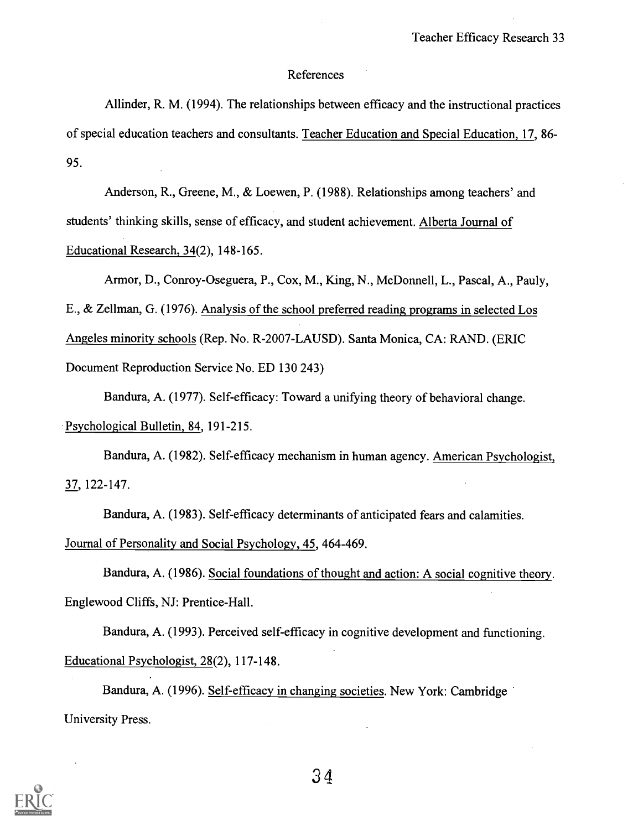#### References

Allinder, R. M. (1994). The relationships between efficacy and the instructional practices of special education teachers and consultants. Teacher Education and Special Education, 17, 86- 95.

Anderson, R., Greene, M., & Loewen, P. (1988). Relationships among teachers' and students' thinking skills, sense of efficacy, and student achievement. Alberta Journal of Educational Research, 34(2), 148-165.

Armor, D., Conroy-Oseguera, P., Cox, M., King, N., McDonnell, L., Pascal, A., Pauly, E., & Zellman, G. (1976). Analysis of the school preferred reading programs in selected Los Angeles minority schools (Rep. No. R-2007-LAUSD). Santa Monica, CA: RAND. (ERIC Document Reproduction Service No. ED 130 243)

Bandura, A. (1977). Self-efficacy: Toward a unifying theory of behavioral change. Psychological Bulletin, 84, 191-215.

Bandura, A. (1982). Self-efficacy mechanism in human agency. American Psychologist, 37, 122-147.

Bandura, A. (1983). Self-efficacy determinants of anticipated fears and calamities.

Journal of Personality and Social Psychology, 45, 464-469.

Bandura, A. (1986). Social foundations of thought and action: A social cognitive theory. Englewood Cliffs, NJ: Prentice-Hall.

Bandura, A. (1993). Perceived self-efficacy in cognitive development and functioning. Educational Psychologist, 28(2), 117-148.

Bandura, A. (1996). Self-efficacy in changing societies. New York: Cambridge University Press.

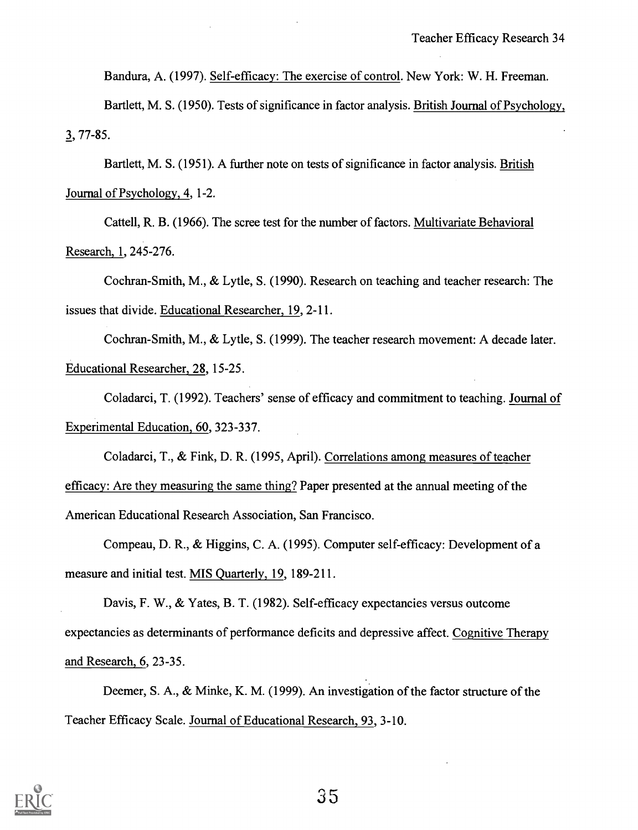Bandura, A. (1997). Self-efficacy: The exercise of control. New York: W. H. Freeman.

Bartlett, M. S. (1950). Tests of significance in factor analysis. British Journal of Psychology, 3, 77-85.

Bartlett, M. S. (1951). A further note on tests of significance in factor analysis. British Journal of Psychology, 4, 1-2.

Cattell, R. B. (1966). The scree test for the number of factors. Multivariate Behavioral Research, 1, 245-276.

Cochran-Smith, M., & Lytle, S. (1990). Research on teaching and teacher research: The issues that divide. Educational Researcher, 19, 2-11.

Cochran-Smith, M., & Lytle, S. (1999). The teacher research movement: A decade later. Educational Researcher, 28, 15-25.

Coladarci, T. (1992). Teachers' sense of efficacy and commitment to teaching. Journal of Experimental Education, 60, 323-337.

Coladarci, T., & Fink, D. R. (1995, April). Correlations among measures of teacher efficacy: Are they measuring the same thing? Paper presented at the annual meeting of the American Educational Research Association, San Francisco.

Compeau, D. R., & Higgins, C. A. (1995). Computer self-efficacy: Development of a measure and initial test. MIS Quarterly, 19, 189-211.

Davis, F. W., & Yates, B. T. (1982). Self-efficacy expectancies versus outcome expectancies as determinants of performance deficits and depressive affect. Cognitive Therapy and Research, 6, 23-35.

Deemer, S. A., & Minke, K. M. (1999). An investigation of the factor structure of the Teacher Efficacy Scale. Journal of Educational Research, 93, 3-10.



s5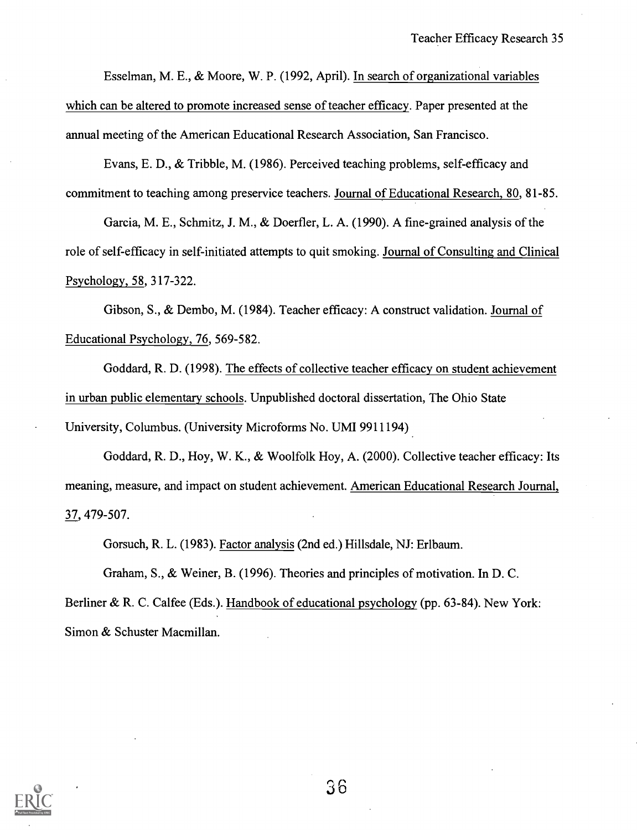Esselman, M. E., & Moore, W. P. (1992, April). In search of organizational variables which can be altered to promote increased sense of teacher efficacy. Paper presented at the annual meeting of the American Educational Research Association, San Francisco.

Evans, E. D., & Tribble, M. (1986). Perceived teaching problems, self-efficacy and commitment to teaching among preservice teachers. Journal of Educational Research, 80, 81-85.

Garcia, M. E., Schmitz, J. M., & Doerfler, L. A. (1990). A fine-grained analysis of the role of self-efficacy in self-initiated attempts to quit smoking. Journal of Consulting and Clinical Psychology, 58, 317-322.

Gibson, S., & Dembo, M. (1984). Teacher efficacy: A construct validation. Journal of Educational Psychology, 76, 569-582.

Goddard, R. D. (1998). The effects of collective teacher efficacy on student achievement in urban public elementary schools. Unpublished doctoral dissertation, The Ohio State University, Columbus. (University Microforms No. UMI 9911194)

Goddard, R. D., Hoy, W. K., & Woolfolk Hoy, A. (2000). Collective teacher efficacy: Its meaning, measure, and impact on student achievement. American Educational Research Journal, 37, 479-507.

Gorsuch, R. L. (1983). Factor analysis (2nd ed.) Hillsdale, NJ: Erlbaum.

Graham, S., & Weiner, B. (1996). Theories and principles of motivation. In D. C.

Berliner & R. C. Calfee (Eds.). Handbook of educational psychology (pp. 63-84). New York: Simon & Schuster Macmillan.

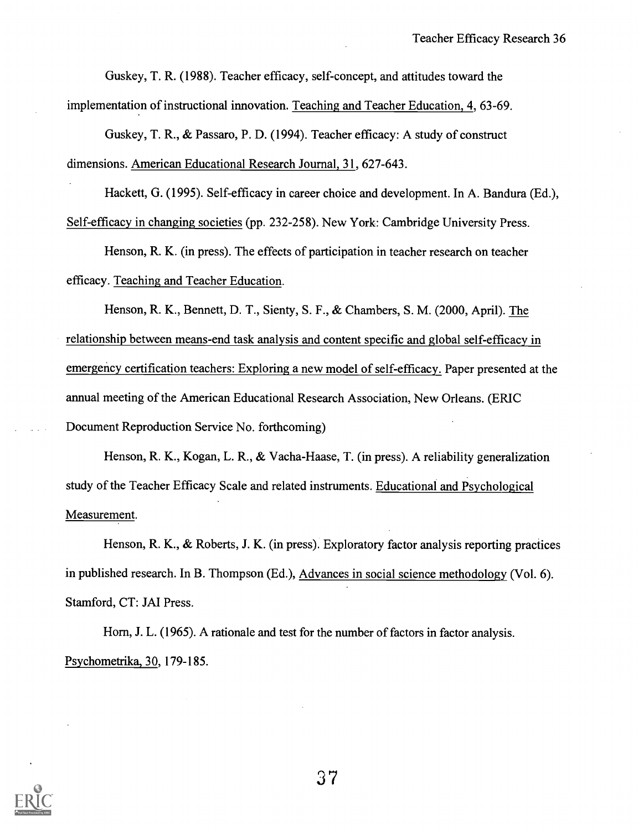Guskey, T. R. (1988). Teacher efficacy, self-concept, and attitudes toward the implementation of instructional innovation. Teaching and Teacher Education, 4, 63-69.

Guskey, T. R., & Passaro, P. D. (1994). Teacher efficacy: A study of construct dimensions. American Educational Research Journal, 31, 627-643.

Hackett, G. (1995). Self-efficacy in career choice and development. In A. Bandura (Ed.), Self-efficacy in changing societies (pp. 232-258). New York: Cambridge University Press.

Henson, R. K. (in press). The effects of participation in teacher research on teacher efficacy. Teaching and Teacher Education.

Henson, R. K., Bennett, D. T., Sienty, S. F., & Chambers, S. M. (2000, April). The relationship between means-end task analysis and content specific and global self-efficacy in emergency certification teachers: Exploring a new model of self-efficacy. Paper presented at the annual meeting of the American Educational Research Association, New Orleans. (ERIC Document Reproduction Service No. forthcoming)

Henson, R. K., Kogan, L. R., & Vacha-Haase, T. (in press). A reliability generalization study of the Teacher Efficacy Scale and related instruments. Educational and Psychological Measurement.

Henson, R. K., & Roberts, J. K. (in press). Exploratory factor analysis reporting practices in published research. In B. Thompson (Ed.), Advances in social science methodology (Vol. 6). Stamford, CT: JAI Press.

Horn, J. L. (1965). A rationale and test for the number of factors in factor analysis. Psychometrika, 30, 179-185.

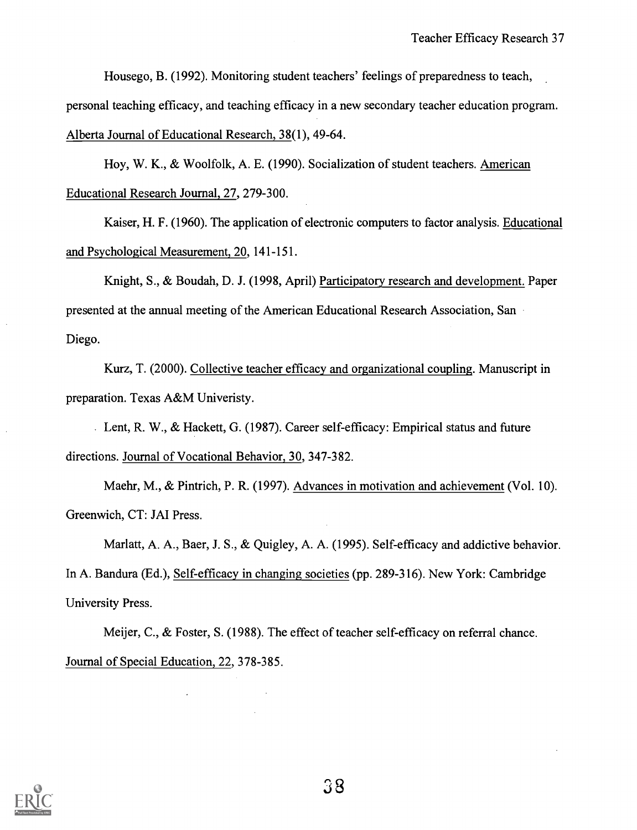Housego, B. (1992). Monitoring student teachers' feelings of preparedness to teach, personal teaching efficacy, and teaching efficacy in a new secondary teacher education program. Alberta Journal of Educational Research, 38(1), 49-64.

Hoy, W. K., & Woolfolk, A. E. (1990). Socialization of student teachers. American Educational Research Journal, 27, 279-300.

Kaiser, H. F. (1960). The application of electronic computers to factor analysis. Educational and Psychological Measurement, 20, 141-151.

Knight, S., & Boudah, D. J. (1998, April) Participatory research and development. Paper presented at the annual meeting of the American Educational Research Association, San Diego.

Kurz, T. (2000). Collective teacher efficacy and organizational coupling. Manuscript in preparation. Texas A&M Univeristy.

Lent, R. W., & Hackett, G. (1987). Career self-efficacy: Empirical status and future directions. Journal of Vocational Behavior, 30, 347-382.

Maehr, M., & Pintrich, P. R. (1997). Advances in motivation and achievement (Vol. 10). Greenwich, CT: JAI Press.

Marlatt, A. A., Baer, J. S., & Quigley, A. A. (1995). Self-efficacy and addictive behavior. In A. Bandura (Ed.), Self-efficacy in changing societies (pp. 289-316). New York: Cambridge University Press.

Meijer, C., & Foster, S. (1988). The effect of teacher self-efficacy on referral chance. Journal of Special Education, 22, 378-385.

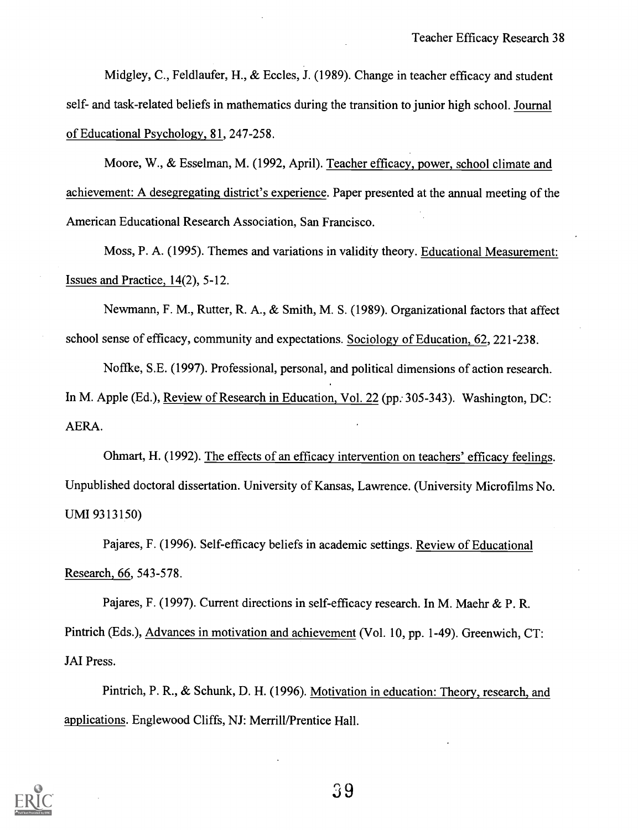Midgley, C., Feldlaufer, H., & Eccles, J. (1989). Change in teacher efficacy and student self- and task-related beliefs in mathematics during the transition to junior high school. Journal of Educational Psychology, 81, 247-258.

Moore, W., & Esselman, M. (1992, April). Teacher efficacy, power, school climate and achievement: A desegregating district's experience. Paper presented at the annual meeting of the American Educational Research Association, San Francisco.

Moss, P. A. (1995). Themes and variations in validity theory. Educational Measurement: Issues and Practice, 14(2), 5-12.

Newmann, F. M., Rutter, R. A., & Smith, M. S. (1989). Organizational factors that affect school sense of efficacy, community and expectations. Sociology of Education, 62, 221-238.

Noffke, S.E. (1997). Professional, personal, and political dimensions of action research. In M. Apple (Ed.), Review of Research in Education, Vol. 22 (pp. 305-343). Washington, DC: AERA.

Ohmart, H. (1992). The effects of an efficacy intervention on teachers' efficacy feelings. Unpublished doctoral dissertation. University of Kansas, Lawrence. (University Microfilms No. UMI 9313150)

Pajares, F. (1996). Self-efficacy beliefs in academic settings. Review of Educational Research, 66, 543-578.

Pajares, F. (1997). Current directions in self-efficacy research. In M. Maehr & P. R. Pintrich (Eds.), Advances in motivation and achievement (Vol. 10, pp. 1-49). Greenwich, CT: JAI Press.

Pintrich, P. R., & Schunk, D. H. (1996). Motivation in education: Theory, research, and applications. Englewood Cliffs, NJ: Merrill/Prentice Hall.



s9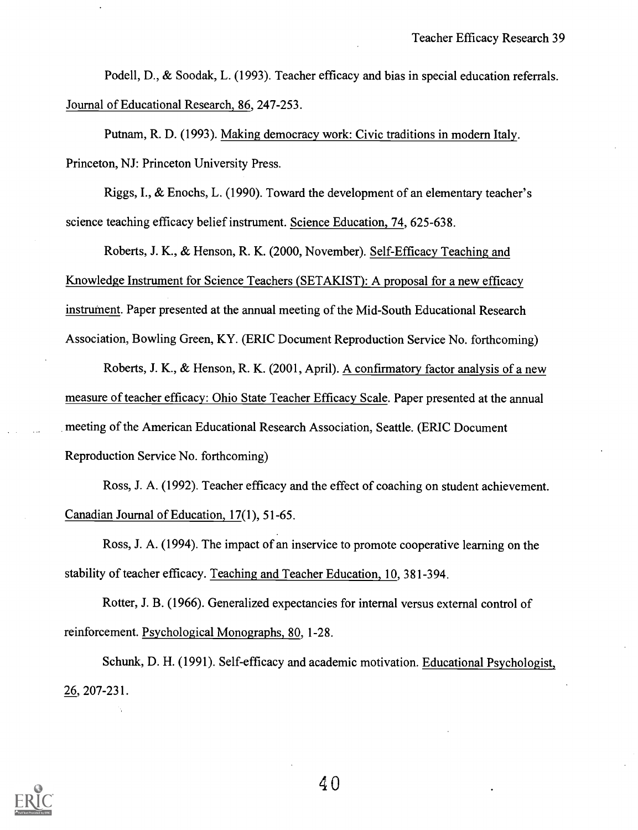Podell, D., & Soodak, L. (1993). Teacher efficacy and bias in special education referrals. Journal of Educational Research, 86, 247-253.

Putnam, R. D. (1993). Making democracy work: Civic traditions in modern Italy. Princeton, NJ: Princeton University Press.

Riggs, I., & Enochs, L. (1990). Toward the development of an elementary teacher's science teaching efficacy belief instrument. Science Education, 74, 625-638.

Roberts, J. K., & Henson, R. K. (2000, November). Self-Efficacy Teaching and Knowledge Instrument for Science Teachers (SETAKIST): A proposal for a new efficacy instrument. Paper presented at the annual meeting of the Mid-South Educational Research Association, Bowling Green, KY. (ERIC Document Reproduction Service No. forthcoming)

Roberts, J. K., & Henson, R. K. (2001, April). A confirmatory factor analysis of a new measure of teacher efficacy: Ohio State Teacher Efficacy Scale. Paper presented at the annual meeting of the American Educational Research Association, Seattle. (ERIC Document Reproduction Service No. forthcoming)

Ross, J. A. (1992). Teacher efficacy and the effect of coaching on student achievement. Canadian Journal of Education, 17(1), 51-65.

Ross, J. A. (1994). The impact of an inservice to promote cooperative learning on the stability of teacher efficacy. Teaching and Teacher Education, 10, 381-394.

Rotter, J. B. (1966). Generalized expectancies for internal versus external control of reinforcement. Psychological Monographs, 80, 1-28.

Schunk, D. H. (1991). Self-efficacy and academic motivation. Educational Psychologist, 26, 207-231.

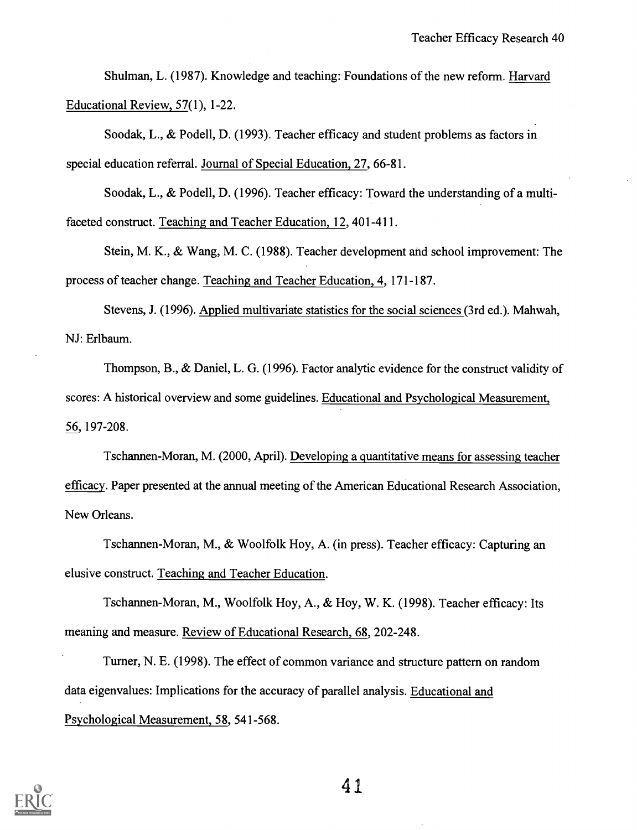Shulman, L. (1987). Knowledge and teaching: Foundations of the new reform. Harvard Educational Review, 57(1), 1-22.

Soodak, L., & Podell, D. (1993). Teacher efficacy and student problems as factors in special education referral. Journal of Special Education, 27, 66-81.

Soodak, L., & Podell, D. (1996). Teacher efficacy: Toward the understanding of a multifaceted construct. Teaching and Teacher Education, 12, 401-411.

Stein, M. K., & Wang, M. C. (1988). Teacher development and school improvement: The process of teacher change. Teaching and Teacher Education, 4, 171-187.

Stevens, J. (1996). Applied multivariate statistics for the social sciences (3rd ed.). Mahwah, NJ: Erlbaum.

Thompson, B., & Daniel, L. G. (1996). Factor analytic evidence for the construct validity of scores: A historical overview and some guidelines. Educational and Psychological Measurement, 56, 197-208.

Tschannen-Moran, M. (2000, April). Developing a quantitative means for assessing teacher efficacy. Paper presented at the annual meeting of the American Educational Research Association, New Orleans.

Tschannen-Moran, M., & Woolfolk Hoy, A. (in press). Teacher efficacy: Capturing an elusive construct. Teaching and Teacher Education.

Tschannen-Moran, M., Woolfolk Hoy, A., & Hoy, W. K. (1998). Teacher efficacy: Its meaning and measure. Review of Educational Research, 68, 202-248.

Turner, N. E. (1998). The effect of common variance and structure pattern on random data eigenvalues: Implications for the accuracy of parallel analysis. Educational and Psychological Measurement, 58, 541-568.

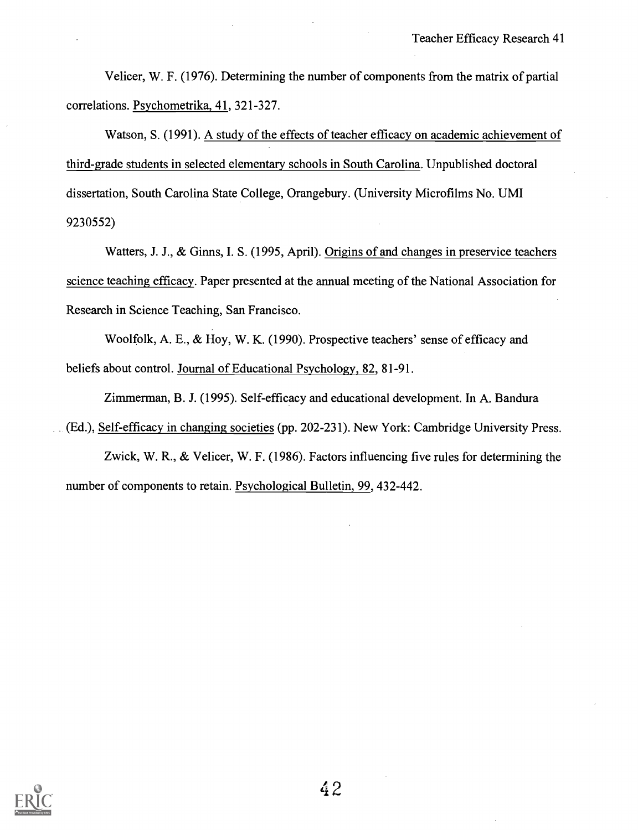Velicer, W. F. (1976). Determining the number of components from the matrix of partial correlations. Psychometrika, 41, 321-327.

Watson, S. (1991). A study of the effects of teacher efficacy on academic achievement of third-grade students in selected elementary schools in South Carolina. Unpublished doctoral dissertation, South Carolina State College, Orangebury. (University Microfilms No. UMI 9230552)

Watters, J. J., & Ginns, I. S. (1995, April). Origins of and changes in preservice teachers science teaching efficacy. Paper presented at the annual meeting of the National Association for Research in Science Teaching, San Francisco.

Woolfolk, A. E., & Hoy, W. K. (1990). Prospective teachers' sense of efficacy and beliefs about control. Journal of Educational Psychology, 82, 81-91.

Zimmerman, B. J. (1995). Self-efficacy and educational development. In A. Bandura (Ed.), Self-efficacy in changing societies (pp. 202-231). New York: Cambridge University Press.

Zwick, W. R., & Velicer, W. F. (1986). Factors influencing five rules for determining the number of components to retain. Psychological Bulletin, 99, 432-442.

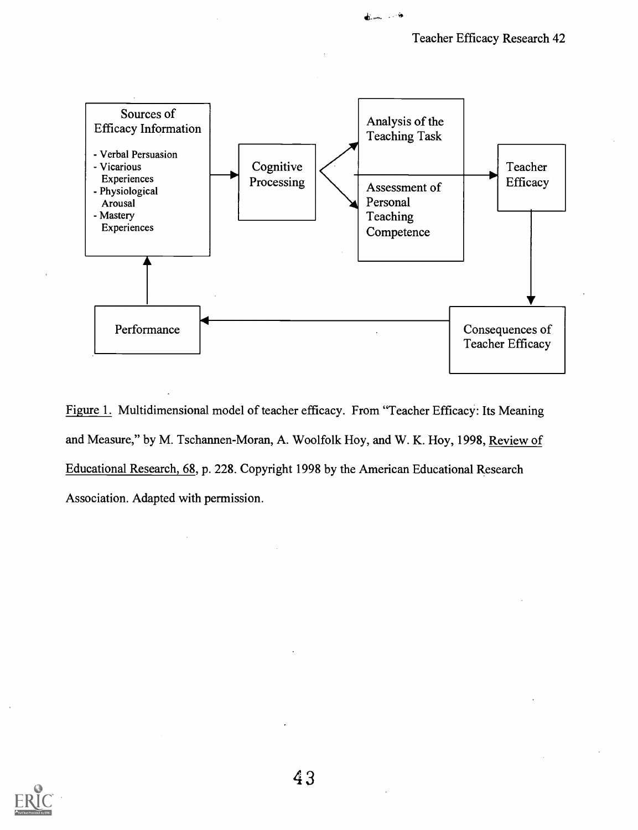

 $+ - -$ 

Figure 1. Multidimensional model of teacher efficacy. From "Teacher Efficacy: Its Meaning and Measure," by M. Tschannen-Moran, A. Woolfolk Hoy, and W. K. Hoy, 1998, Review of Educational Research, 68, p. 228. Copyright 1998 by the American Educational Research Association. Adapted with permission.

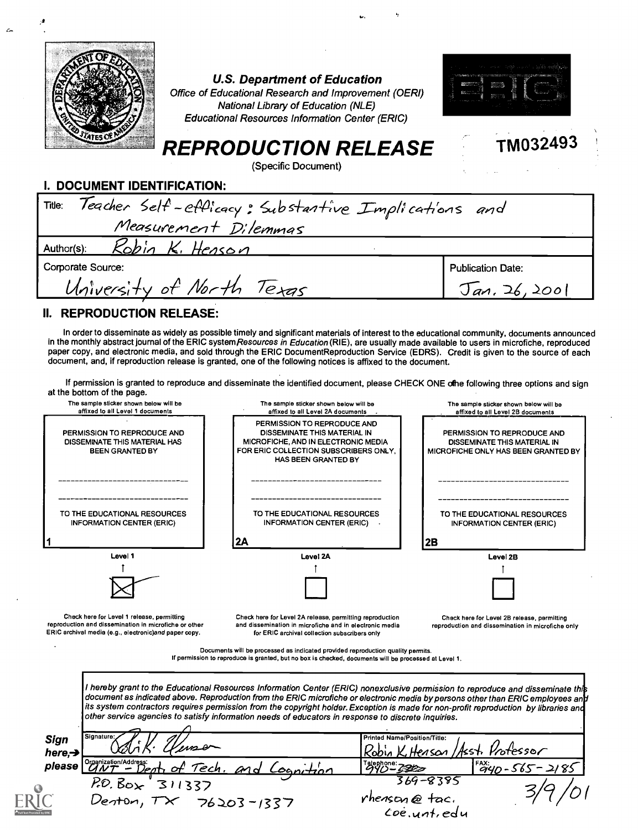|                             | <b>U.S. Department of Education</b><br>Office of Educational Research and Improvement (OERI)<br>National Library of Education (NLE)<br><b>Educational Resources Information Center (ERIC)</b><br><b>REPRODUCTION RELEASE</b><br>(Specific Document) | TM032493 |
|-----------------------------|-----------------------------------------------------------------------------------------------------------------------------------------------------------------------------------------------------------------------------------------------------|----------|
| I. DOCUMENT IDENTIFICATION: |                                                                                                                                                                                                                                                     |          |
| Title:                      | Teacher Self-efflicacy: Substantive Implications and                                                                                                                                                                                                |          |
|                             | Measurement Dilemmas                                                                                                                                                                                                                                |          |
| Author(s):                  | Kobin K. Henson                                                                                                                                                                                                                                     |          |

Corporate Source:

 $\mathbf{z}$ 

# University of North Texas

Publication Date:  $Tan. 26, 2001$ 

### II. REPRODUCTION RELEASE:

In order to disseminate as widely as possible timely and significant materials of interest to the educational community, documents announced in the monthly abstract journal of the ERIC systemResources in Education (RIE), are usually made available to users in microfiche, reproduced paper copy, and electronic media, and sold through the ERIC DocumentReproduction Service (EDRS). Credit is given to the source of each document, and, if reproduction release is granted, one of the following notices is affixed to the document.

If permission is granted to reproduce and disseminate the identified document, please CHECK ONE ofhe following three options and sign at the bottom of the page.

| ar me pollom or me page.                                                                                       |                                                                                                                                                                                                                                                                                                                                                                                        |                                                                                                    |
|----------------------------------------------------------------------------------------------------------------|----------------------------------------------------------------------------------------------------------------------------------------------------------------------------------------------------------------------------------------------------------------------------------------------------------------------------------------------------------------------------------------|----------------------------------------------------------------------------------------------------|
| The sample sticker shown below will be<br>affixed to all Level 1 documents                                     | The sample sticker shown below will be<br>affixed to all Level 2A documents                                                                                                                                                                                                                                                                                                            | The sample sticker shown below will be<br>affixed to all Level 2B documents                        |
| PERMISSION TO REPRODUCE AND<br>DISSEMINATE THIS MATERIAL HAS<br>BEEN GRANTED BY                                | PERMISSION TO REPRODUCE AND<br>DISSEMINATE THIS MATERIAL IN<br>MICROFICHE, AND IN ELECTRONIC MEDIA<br>FOR ERIC COLLECTION SUBSCRIBERS ONLY,<br><b>HAS BEEN GRANTED BY</b>                                                                                                                                                                                                              | PERMISSION TO REPRODUCE AND<br>DISSEMINATE THIS MATERIAL IN<br>MICROFICHE ONLY HAS BEEN GRANTED BY |
| TO THE EDUCATIONAL RESOURCES<br><b>INFORMATION CENTER (ERIC)</b>                                               | TO THE EDUCATIONAL RESOURCES<br><b>INFORMATION CENTER (ERIC)</b><br>2Α                                                                                                                                                                                                                                                                                                                 | TO THE EDUCATIONAL RESOURCES<br><b>INFORMATION CENTER (ERIC)</b><br>2B                             |
| Level 1                                                                                                        | <b>Level 2A</b>                                                                                                                                                                                                                                                                                                                                                                        | Level 2B                                                                                           |
|                                                                                                                |                                                                                                                                                                                                                                                                                                                                                                                        |                                                                                                    |
|                                                                                                                |                                                                                                                                                                                                                                                                                                                                                                                        |                                                                                                    |
|                                                                                                                |                                                                                                                                                                                                                                                                                                                                                                                        |                                                                                                    |
| Check here for Level 1 release, permitting                                                                     | Check here for Level 2A release, permitting reproduction<br>and dissemination in microfiche and in electronic media<br>for ERIC archival collection subscribers only                                                                                                                                                                                                                   | Check here for Level 2B release, permitting<br>reproduction and dissemination in microfiche only   |
| reproduction and dissemination in microfiche or other<br>ERIC archival media (e.g., electronic)and paper copy. | Documents will be processed as indicated provided reproduction quality permits.<br>If permission to reproduce is granted, but no box is checked, documents will be processed at Level 1.<br>I hereby grant to the Educational Resources Information Center (ERIC) nonexclusive permission to reproduce and disseminate this                                                            |                                                                                                    |
|                                                                                                                | document as indicated above. Reproduction from the ERIC microfiche or electronic media by persons other than ERIC employees an <b>h</b><br>its system contractors requires permission from the copyright holder. Exception is made for non-profit reproduction by libraries and<br>other service agencies to satisfy information needs of educators in response to discrete inquiries. |                                                                                                    |
| Signature:<br><b>Sign</b><br>here, $\rightarrow$                                                               | Printed Name/Position/Title:                                                                                                                                                                                                                                                                                                                                                           | Robin K, Henson / Asst. Protessor                                                                  |
| please                                                                                                         | Talephone: 2222                                                                                                                                                                                                                                                                                                                                                                        |                                                                                                    |
| Organization/Address:<br>UNT - Dent, of Tech. and Cogni-                                                       |                                                                                                                                                                                                                                                                                                                                                                                        | $\frac{128}{940} - 565 - 2185$<br>369-8385                                                         |
| P.0.80x<br>311337<br>Denton, $\tau\times$                                                                      | rhenson@fac.<br>$76203 - 1337$                                                                                                                                                                                                                                                                                                                                                         |                                                                                                    |